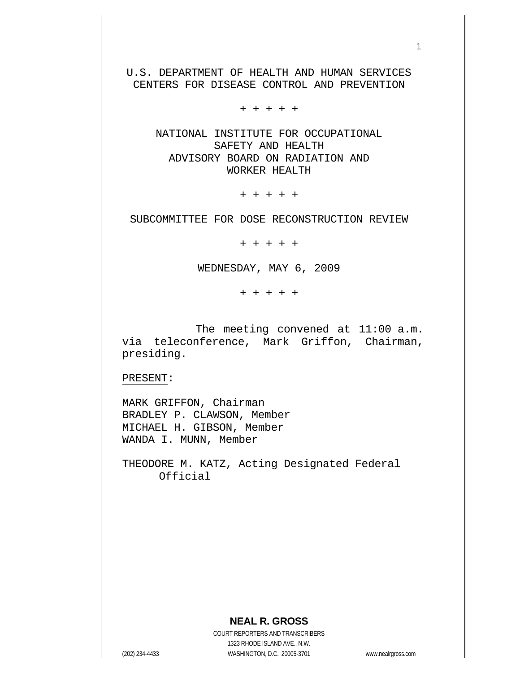U.S. DEPARTMENT OF HEALTH AND HUMAN SERVICES CENTERS FOR DISEASE CONTROL AND PREVENTION

+ + + + +

 NATIONAL INSTITUTE FOR OCCUPATIONAL SAFETY AND HEALTH ADVISORY BOARD ON RADIATION AND WORKER HEALTH

+ + + + +

SUBCOMMITTEE FOR DOSE RECONSTRUCTION REVIEW

+ + + + +

WEDNESDAY, MAY 6, 2009

+ + + + +

 The meeting convened at 11:00 a.m. via teleconference, Mark Griffon, Chairman, presiding.

PRESENT:

MARK GRIFFON, Chairman BRADLEY P. CLAWSON, Member MICHAEL H. GIBSON, Member WANDA I. MUNN, Member

THEODORE M. KATZ, Acting Designated Federal Official

#### **NEAL R. GROSS**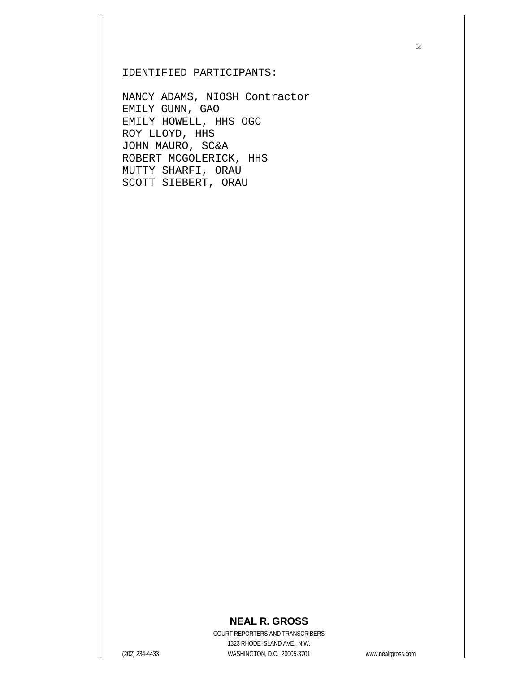#### IDENTIFIED PARTICIPANTS:

NANCY ADAMS, NIOSH Contractor EMILY GUNN, GAO EMILY HOWELL, HHS OGC ROY LLOYD, HHS JOHN MAURO, SC&A ROBERT MCGOLERICK, HHS MUTTY SHARFI, ORAU SCOTT SIEBERT, ORAU

## **NEAL R. GROSS**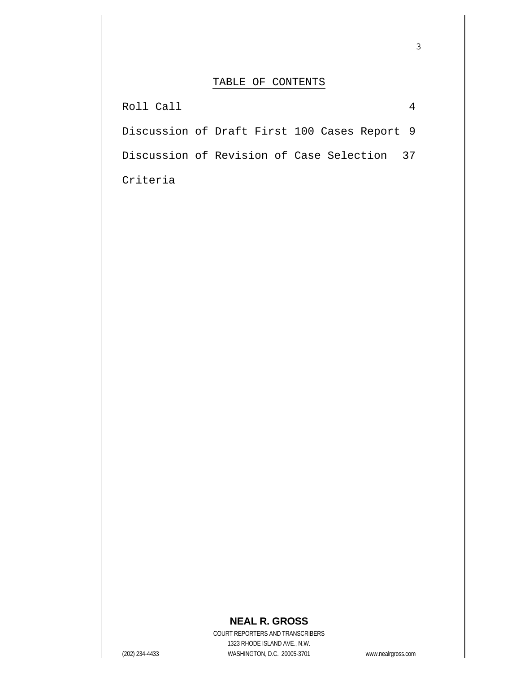## TABLE OF CONTENTS

| Roll Call                                    |  |
|----------------------------------------------|--|
| Discussion of Draft First 100 Cases Report 9 |  |
| Discussion of Revision of Case Selection 37  |  |
| Criteria                                     |  |

# **NEAL R. GROSS**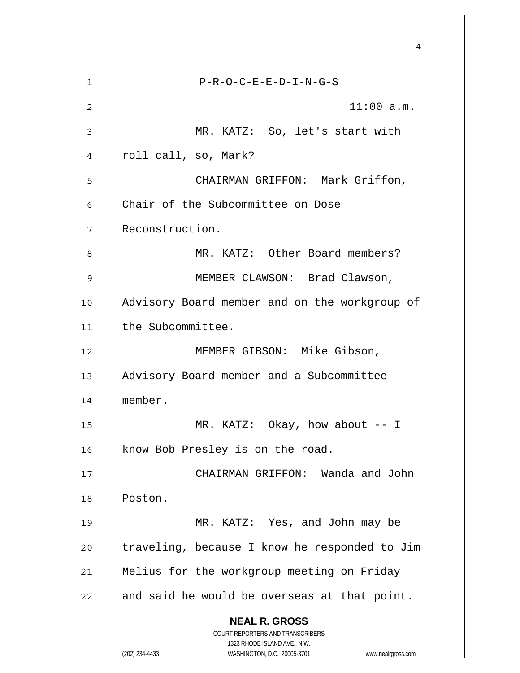|    | 4                                                                   |
|----|---------------------------------------------------------------------|
| 1  | $P-R-O-C-E-E-D-I-N-G-S$                                             |
| 2  | 11:00 a.m.                                                          |
| 3  | MR. KATZ: So, let's start with                                      |
| 4  | roll call, so, Mark?                                                |
| 5  | CHAIRMAN GRIFFON: Mark Griffon,                                     |
| 6  | Chair of the Subcommittee on Dose                                   |
| 7  | Reconstruction.                                                     |
| 8  | MR. KATZ: Other Board members?                                      |
| 9  | MEMBER CLAWSON: Brad Clawson,                                       |
| 10 | Advisory Board member and on the workgroup of                       |
| 11 | the Subcommittee.                                                   |
| 12 | MEMBER GIBSON: Mike Gibson,                                         |
| 13 | Advisory Board member and a Subcommittee                            |
| 14 | member.                                                             |
| 15 | MR. KATZ: Okay, how about $-$ - I                                   |
| 16 | know Bob Presley is on the road.                                    |
| 17 | CHAIRMAN GRIFFON: Wanda and John                                    |
| 18 | Poston.                                                             |
| 19 | MR. KATZ: Yes, and John may be                                      |
| 20 | traveling, because I know he responded to Jim                       |
| 21 | Melius for the workgroup meeting on Friday                          |
| 22 | and said he would be overseas at that point.                        |
|    | <b>NEAL R. GROSS</b>                                                |
|    | COURT REPORTERS AND TRANSCRIBERS<br>1323 RHODE ISLAND AVE., N.W.    |
|    | (202) 234-4433<br>WASHINGTON, D.C. 20005-3701<br>www.nealrgross.com |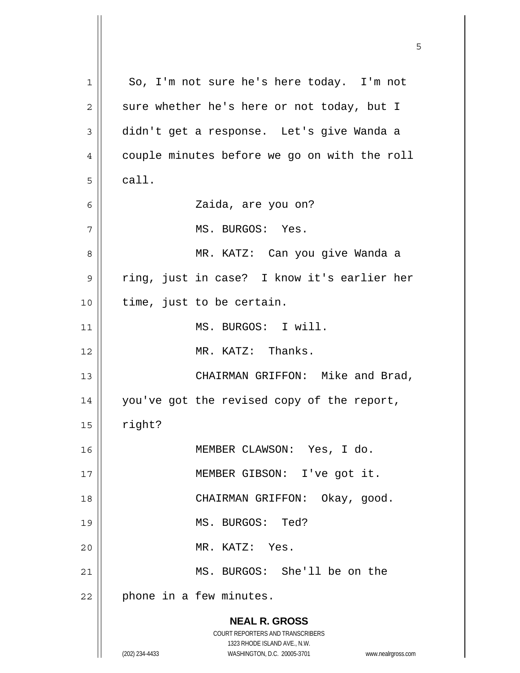**NEAL R. GROSS** COURT REPORTERS AND TRANSCRIBERS 1323 RHODE ISLAND AVE., N.W. (202) 234-4433 WASHINGTON, D.C. 20005-3701 www.nealrgross.com 1 2 3 4 5 6 7 8 9 10 11 12 13 14 15 16 17 18 19 20 21 22 So, I'm not sure he's here today. I'm not sure whether he's here or not today, but I didn't get a response. Let's give Wanda a couple minutes before we go on with the roll call. Zaida, are you on? MS. BURGOS: Yes. MR. KATZ: Can you give Wanda a ring, just in case? I know it's earlier her time, just to be certain. MS. BURGOS: I will. MR. KATZ: Thanks. CHAIRMAN GRIFFON: Mike and Brad, you've got the revised copy of the report, right? MEMBER CLAWSON: Yes, I do. MEMBER GIBSON: I've got it. CHAIRMAN GRIFFON: Okay, good. MS. BURGOS: Ted? MR. KATZ: Yes. MS. BURGOS: She'll be on the phone in a few minutes.

 $\sim$  5  $\sim$  5  $\sim$  5  $\sim$  5  $\sim$  5  $\sim$  5  $\sim$  5  $\sim$  5  $\sim$  5  $\sim$  5  $\sim$  5  $\sim$  5  $\sim$  5  $\sim$  5  $\sim$  5  $\sim$  5  $\sim$  5  $\sim$  5  $\sim$  5  $\sim$  5  $\sim$  5  $\sim$  5  $\sim$  5  $\sim$  5  $\sim$  5  $\sim$  5  $\sim$  5  $\sim$  5  $\sim$  5  $\sim$  5  $\sim$  5  $\sim$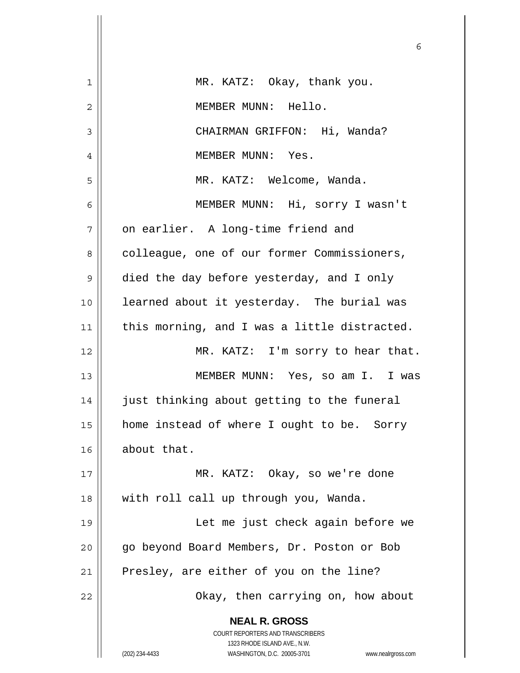|                | 6                                                                   |
|----------------|---------------------------------------------------------------------|
| 1              | MR. KATZ: Okay, thank you.                                          |
| $\overline{c}$ | MEMBER MUNN: Hello.                                                 |
| 3              | CHAIRMAN GRIFFON: Hi, Wanda?                                        |
| 4              | MEMBER MUNN: Yes.                                                   |
| 5              | MR. KATZ: Welcome, Wanda.                                           |
| 6              | MEMBER MUNN: Hi, sorry I wasn't                                     |
| 7              | on earlier. A long-time friend and                                  |
| 8              | colleague, one of our former Commissioners,                         |
| 9              | died the day before yesterday, and I only                           |
| 10             | learned about it yesterday. The burial was                          |
| 11             | this morning, and I was a little distracted.                        |
| 12             | MR. KATZ: I'm sorry to hear that.                                   |
| 13             | MEMBER MUNN: Yes, so am I. I was                                    |
| 14             | just thinking about getting to the funeral                          |
| 15             | home instead of where I ought to be. Sorry                          |
| 16             | about that.                                                         |
| 17             | MR. KATZ: Okay, so we're done                                       |
| 18             | with roll call up through you, Wanda.                               |
| 19             | Let me just check again before we                                   |
| 20             | go beyond Board Members, Dr. Poston or Bob                          |
| 21             | Presley, are either of you on the line?                             |
| 22             | Okay, then carrying on, how about                                   |
|                | <b>NEAL R. GROSS</b>                                                |
|                | COURT REPORTERS AND TRANSCRIBERS<br>1323 RHODE ISLAND AVE., N.W.    |
|                | (202) 234-4433<br>WASHINGTON, D.C. 20005-3701<br>www.nealrgross.com |

 $\mathsf{I}$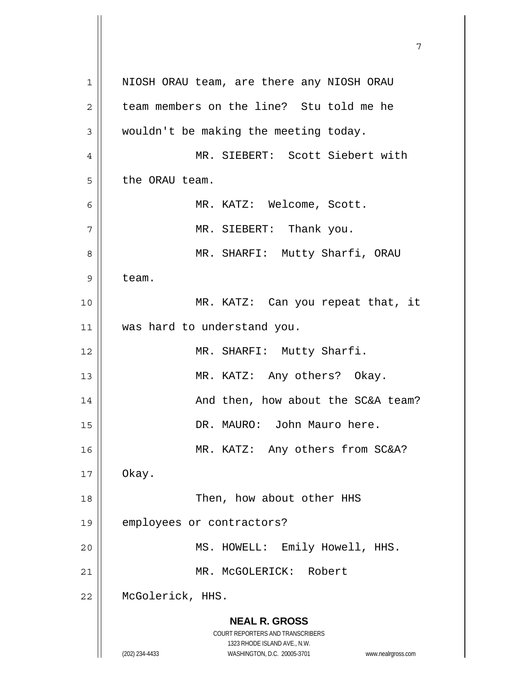**NEAL R. GROSS** COURT REPORTERS AND TRANSCRIBERS 1323 RHODE ISLAND AVE., N.W. (202) 234-4433 WASHINGTON, D.C. 20005-3701 www.nealrgross.com 1 2 3 4 5 6 7 8 9 10 11 12 13 14 15 16 17 18 19 20 21 22 NIOSH ORAU team, are there any NIOSH ORAU team members on the line? Stu told me he wouldn't be making the meeting today. MR. SIEBERT: Scott Siebert with the ORAU team. MR. KATZ: Welcome, Scott. MR. SIEBERT: Thank you. MR. SHARFI: Mutty Sharfi, ORAU team. MR. KATZ: Can you repeat that, it was hard to understand you. MR. SHARFI: Mutty Sharfi. MR. KATZ: Any others? Okay. And then, how about the SC&A team? DR. MAURO: John Mauro here. MR. KATZ: Any others from SC&A? Okay. Then, how about other HHS employees or contractors? MS. HOWELL: Emily Howell, HHS. MR. McGOLERICK: Robert McGolerick, HHS.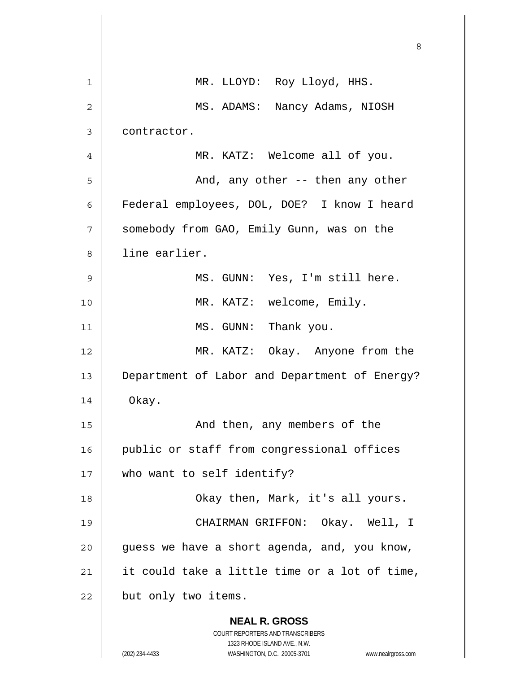|    | 8                                                                                                                                                               |
|----|-----------------------------------------------------------------------------------------------------------------------------------------------------------------|
| 1  | MR. LLOYD: Roy Lloyd, HHS.                                                                                                                                      |
| 2  | MS. ADAMS: Nancy Adams, NIOSH                                                                                                                                   |
| 3  | contractor.                                                                                                                                                     |
| 4  | MR. KATZ: Welcome all of you.                                                                                                                                   |
| 5  | And, any other -- then any other                                                                                                                                |
| 6  | Federal employees, DOL, DOE? I know I heard                                                                                                                     |
| 7  | somebody from GAO, Emily Gunn, was on the                                                                                                                       |
| 8  | line earlier.                                                                                                                                                   |
| 9  | MS. GUNN: Yes, I'm still here.                                                                                                                                  |
| 10 | MR. KATZ: welcome, Emily.                                                                                                                                       |
| 11 | MS. GUNN: Thank you.                                                                                                                                            |
| 12 | MR. KATZ: Okay. Anyone from the                                                                                                                                 |
| 13 | Department of Labor and Department of Energy?                                                                                                                   |
| 14 | Okay.                                                                                                                                                           |
| 15 | And then, any members of the                                                                                                                                    |
| 16 | public or staff from congressional offices                                                                                                                      |
| 17 | who want to self identify?                                                                                                                                      |
| 18 | Okay then, Mark, it's all yours.                                                                                                                                |
| 19 | CHAIRMAN GRIFFON: Okay. Well, I                                                                                                                                 |
| 20 | guess we have a short agenda, and, you know,                                                                                                                    |
| 21 | it could take a little time or a lot of time,                                                                                                                   |
| 22 | but only two items.                                                                                                                                             |
|    | <b>NEAL R. GROSS</b><br>COURT REPORTERS AND TRANSCRIBERS<br>1323 RHODE ISLAND AVE., N.W.<br>(202) 234-4433<br>WASHINGTON, D.C. 20005-3701<br>www.nealrgross.com |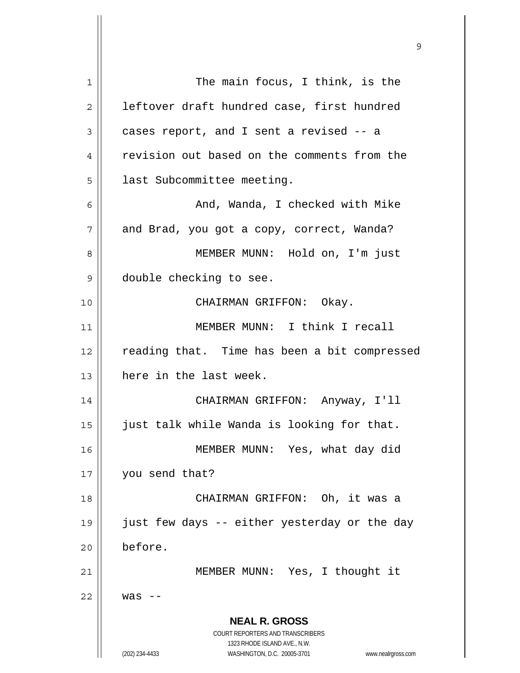**NEAL R. GROSS** COURT REPORTERS AND TRANSCRIBERS 1323 RHODE ISLAND AVE., N.W. (202) 234-4433 WASHINGTON, D.C. 20005-3701 www.nealrgross.com 1 2 3 4 5 6 7 8 9 10 11 12 13 14 15 16 17 18 19 20 21 22 The main focus, I think, is the leftover draft hundred case, first hundred cases report, and I sent a revised -- a revision out based on the comments from the last Subcommittee meeting. And, Wanda, I checked with Mike and Brad, you got a copy, correct, Wanda? MEMBER MUNN: Hold on, I'm just double checking to see. CHAIRMAN GRIFFON: Okay. MEMBER MUNN: I think I recall reading that. Time has been a bit compressed here in the last week. CHAIRMAN GRIFFON: Anyway, I'll just talk while Wanda is looking for that. MEMBER MUNN: Yes, what day did you send that? CHAIRMAN GRIFFON: Oh, it was a just few days -- either yesterday or the day before. MEMBER MUNN: Yes, I thought it  $was$   $-$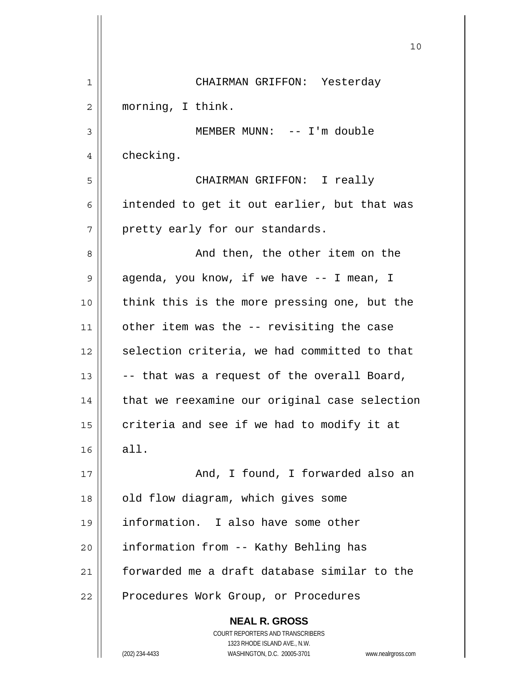|    | 10                                                                                                  |
|----|-----------------------------------------------------------------------------------------------------|
| 1  | CHAIRMAN GRIFFON: Yesterday                                                                         |
| 2  | morning, I think.                                                                                   |
| 3  | MEMBER MUNN: -- I'm double                                                                          |
| 4  | checking.                                                                                           |
| 5  | CHAIRMAN GRIFFON: I really                                                                          |
| 6  | intended to get it out earlier, but that was                                                        |
| 7  | pretty early for our standards.                                                                     |
| 8  | And then, the other item on the                                                                     |
| 9  | agenda, you know, if we have -- I mean, I                                                           |
| 10 | think this is the more pressing one, but the                                                        |
| 11 | other item was the -- revisiting the case                                                           |
| 12 | selection criteria, we had committed to that                                                        |
| 13 | -- that was a request of the overall Board,                                                         |
| 14 | that we reexamine our original case selection                                                       |
| 15 | criteria and see if we had to modify it at                                                          |
| 16 | all.                                                                                                |
| 17 | And, I found, I forwarded also an                                                                   |
| 18 | old flow diagram, which gives some                                                                  |
| 19 | information. I also have some other                                                                 |
| 20 | information from -- Kathy Behling has                                                               |
| 21 | forwarded me a draft database similar to the                                                        |
| 22 | Procedures Work Group, or Procedures                                                                |
|    | <b>NEAL R. GROSS</b><br><b>COURT REPORTERS AND TRANSCRIBERS</b>                                     |
|    | 1323 RHODE ISLAND AVE., N.W.<br>(202) 234-4433<br>WASHINGTON, D.C. 20005-3701<br>www.nealrgross.com |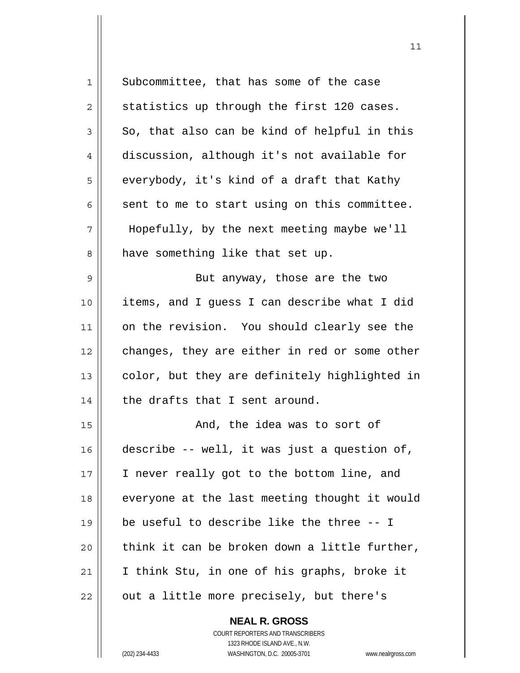| $\mathbf 1$    | Subcommittee, that has some of the case       |
|----------------|-----------------------------------------------|
| $\overline{c}$ | statistics up through the first 120 cases.    |
| $\mathfrak{Z}$ | So, that also can be kind of helpful in this  |
| $\overline{4}$ | discussion, although it's not available for   |
| 5              | everybody, it's kind of a draft that Kathy    |
| 6              | sent to me to start using on this committee.  |
| 7              | Hopefully, by the next meeting maybe we'll    |
| 8              | have something like that set up.              |
| 9              | But anyway, those are the two                 |
| 10             | items, and I quess I can describe what I did  |
| 11             | on the revision. You should clearly see the   |
| 12             | changes, they are either in red or some other |
| 13             | color, but they are definitely highlighted in |
| 14             | the drafts that I sent around.                |
| 15             | And, the idea was to sort of                  |
| 16             | describe -- well, it was just a question of,  |
| 17             | I never really got to the bottom line, and    |
| 18             | everyone at the last meeting thought it would |
| 19             | be useful to describe like the three -- I     |
| 20             | think it can be broken down a little further, |
| 21             | I think Stu, in one of his graphs, broke it   |
| 22             | out a little more precisely, but there's      |
|                | <b>NEAL R. GROSS</b>                          |

 $11$ 

COURT REPORTERS AND TRANSCRIBERS 1323 RHODE ISLAND AVE., N.W. (202) 234-4433 WASHINGTON, D.C. 20005-3701 www.nealrgross.com

 $\mathsf{II}$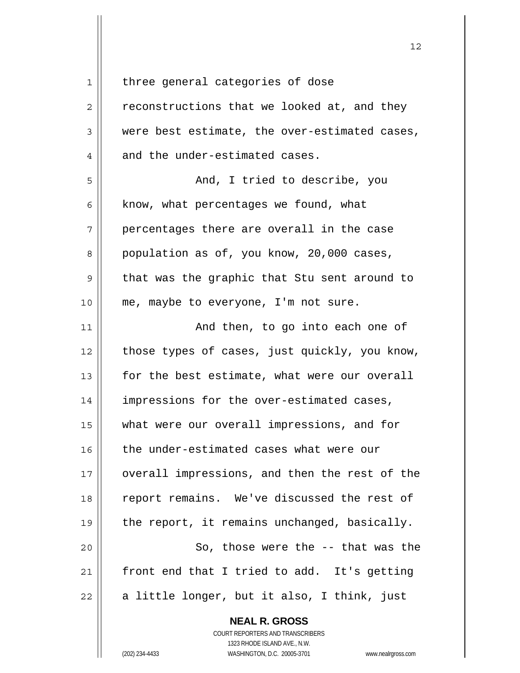1

three general categories of dose

| $\overline{2}$ | reconstructions that we looked at, and they   |
|----------------|-----------------------------------------------|
| 3              | were best estimate, the over-estimated cases, |
| 4              | and the under-estimated cases.                |
| 5              | And, I tried to describe, you                 |
| 6              | know, what percentages we found, what         |
| 7              | percentages there are overall in the case     |
| 8              | population as of, you know, 20,000 cases,     |
| $\mathsf 9$    | that was the graphic that Stu sent around to  |
| 10             | me, maybe to everyone, I'm not sure.          |
| 11             | And then, to go into each one of              |
| 12             | those types of cases, just quickly, you know, |
| 13             | for the best estimate, what were our overall  |
| 14             | impressions for the over-estimated cases,     |
| 15             | what were our overall impressions, and for    |
| 16             | the under-estimated cases what were our       |
| 17             | overall impressions, and then the rest of the |
| 18             | report remains. We've discussed the rest of   |
| 19             | the report, it remains unchanged, basically.  |
| 20             | So, those were the -- that was the            |
| 21             | front end that I tried to add. It's getting   |
| 22             | a little longer, but it also, I think, just   |

**NEAL R. GROSS**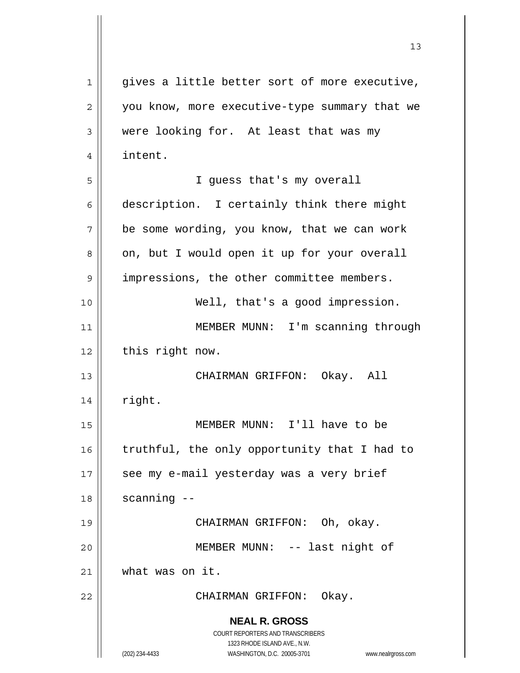**NEAL R. GROSS** COURT REPORTERS AND TRANSCRIBERS 1323 RHODE ISLAND AVE., N.W. (202) 234-4433 WASHINGTON, D.C. 20005-3701 www.nealrgross.com 1 2 3 4 5 6 7 8 9 10 11 12 13 14 15 16 17 18 19 20 21 22 gives a little better sort of more executive, you know, more executive-type summary that we were looking for. At least that was my intent. I guess that's my overall description. I certainly think there might be some wording, you know, that we can work on, but I would open it up for your overall impressions, the other committee members. Well, that's a good impression. MEMBER MUNN: I'm scanning through this right now. CHAIRMAN GRIFFON: Okay. All right. MEMBER MUNN: I'll have to be truthful, the only opportunity that I had to see my e-mail yesterday was a very brief scanning -- CHAIRMAN GRIFFON: Oh, okay. MEMBER MUNN: -- last night of what was on it. CHAIRMAN GRIFFON: Okay.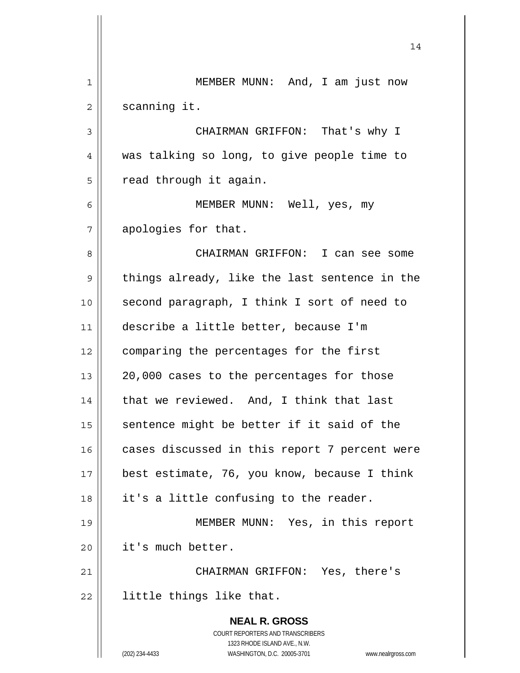**NEAL R. GROSS** COURT REPORTERS AND TRANSCRIBERS 1323 RHODE ISLAND AVE., N.W. (202) 234-4433 WASHINGTON, D.C. 20005-3701 www.nealrgross.com 14 1 2 3 4 5 6 7 8 9 10 11 12 13 14 15 16 17 18 19 20 21 22 MEMBER MUNN: And, I am just now scanning it. CHAIRMAN GRIFFON: That's why I was talking so long, to give people time to read through it again. MEMBER MUNN: Well, yes, my apologies for that. CHAIRMAN GRIFFON: I can see some things already, like the last sentence in the second paragraph, I think I sort of need to describe a little better, because I'm comparing the percentages for the first 20,000 cases to the percentages for those that we reviewed. And, I think that last sentence might be better if it said of the cases discussed in this report 7 percent were best estimate, 76, you know, because I think it's a little confusing to the reader. MEMBER MUNN: Yes, in this report it's much better. CHAIRMAN GRIFFON: Yes, there's little things like that.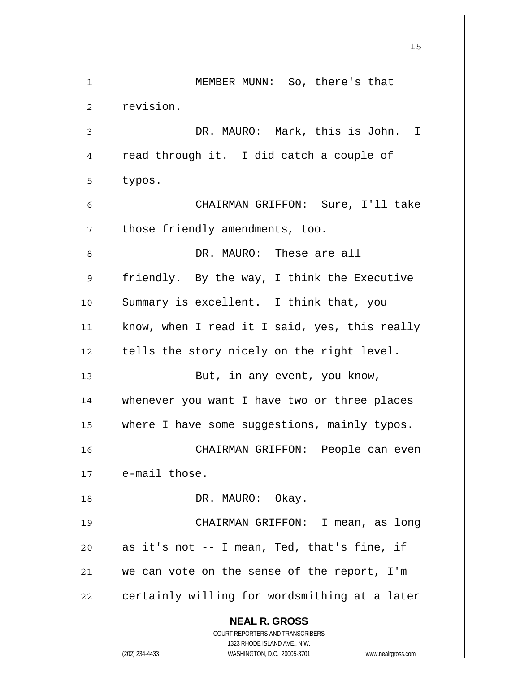|    | 15                                                                  |
|----|---------------------------------------------------------------------|
| 1  | MEMBER MUNN: So, there's that                                       |
| 2  | revision.                                                           |
| 3  | DR. MAURO: Mark, this is John. I                                    |
| 4  | read through it. I did catch a couple of                            |
| 5  | typos.                                                              |
| 6  | CHAIRMAN GRIFFON: Sure, I'll take                                   |
| 7  | those friendly amendments, too.                                     |
| 8  | DR. MAURO: These are all                                            |
| 9  | friendly. By the way, I think the Executive                         |
| 10 | Summary is excellent. I think that, you                             |
| 11 | know, when I read it I said, yes, this really                       |
| 12 | tells the story nicely on the right level.                          |
| 13 | But, in any event, you know,                                        |
| 14 | whenever you want I have two or three places                        |
| 15 | where I have some suggestions, mainly typos.                        |
| 16 | CHAIRMAN GRIFFON: People can even                                   |
| 17 | e-mail those.                                                       |
| 18 | DR. MAURO: Okay.                                                    |
| 19 | CHAIRMAN GRIFFON: I mean, as long                                   |
| 20 | as it's not -- I mean, Ted, that's fine, if                         |
| 21 | we can vote on the sense of the report, I'm                         |
| 22 | certainly willing for wordsmithing at a later                       |
|    | <b>NEAL R. GROSS</b><br><b>COURT REPORTERS AND TRANSCRIBERS</b>     |
|    | 1323 RHODE ISLAND AVE., N.W.                                        |
|    | (202) 234-4433<br>WASHINGTON, D.C. 20005-3701<br>www.nealrgross.com |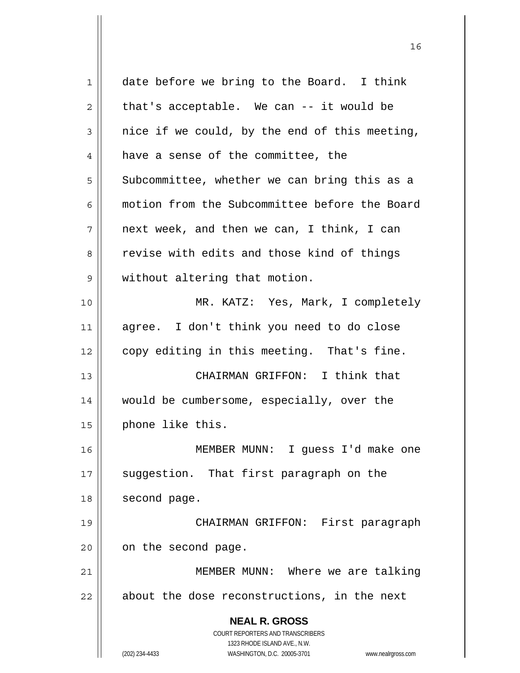| 1  | date before we bring to the Board. I think                          |
|----|---------------------------------------------------------------------|
| 2  | that's acceptable. We can -- it would be                            |
| 3  | nice if we could, by the end of this meeting,                       |
| 4  | have a sense of the committee, the                                  |
| 5  | Subcommittee, whether we can bring this as a                        |
| 6  | motion from the Subcommittee before the Board                       |
| 7  | next week, and then we can, I think, I can                          |
| 8  | revise with edits and those kind of things                          |
| 9  | without altering that motion.                                       |
| 10 | MR. KATZ: Yes, Mark, I completely                                   |
| 11 | agree. I don't think you need to do close                           |
| 12 | copy editing in this meeting. That's fine.                          |
| 13 | CHAIRMAN GRIFFON: I think that                                      |
| 14 | would be cumbersome, especially, over the                           |
| 15 | phone like this.                                                    |
| 16 | MEMBER MUNN: I guess I'd make one                                   |
| 17 | suggestion. That first paragraph on the                             |
| 18 | second page.                                                        |
| 19 | CHAIRMAN GRIFFON: First paragraph                                   |
| 20 | on the second page.                                                 |
| 21 | MEMBER MUNN: Where we are talking                                   |
| 22 | about the dose reconstructions, in the next                         |
|    | <b>NEAL R. GROSS</b>                                                |
|    | COURT REPORTERS AND TRANSCRIBERS                                    |
|    | 1323 RHODE ISLAND AVE., N.W.                                        |
|    | (202) 234-4433<br>WASHINGTON, D.C. 20005-3701<br>www.nealrgross.com |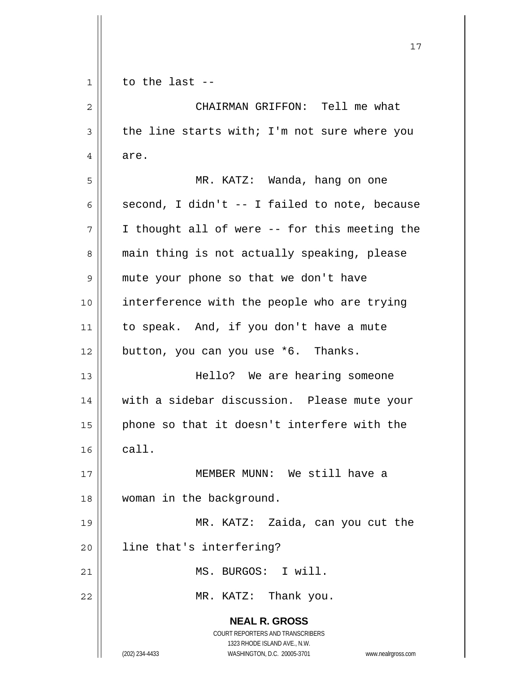| $\mathbf 1$ | to the last $-$                                                                                     |
|-------------|-----------------------------------------------------------------------------------------------------|
| 2           | CHAIRMAN GRIFFON: Tell me what                                                                      |
| 3           | the line starts with; I'm not sure where you                                                        |
| 4           | are.                                                                                                |
| 5           | MR. KATZ: Wanda, hang on one                                                                        |
| 6           | second, I didn't -- I failed to note, because                                                       |
| 7           | I thought all of were -- for this meeting the                                                       |
| 8           | main thing is not actually speaking, please                                                         |
| 9           | mute your phone so that we don't have                                                               |
| 10          | interference with the people who are trying                                                         |
| 11          | to speak. And, if you don't have a mute                                                             |
| 12          | button, you can you use *6. Thanks.                                                                 |
| 13          | Hello? We are hearing someone                                                                       |
| 14          | with a sidebar discussion. Please mute your                                                         |
| 15          | phone so that it doesn't interfere with the                                                         |
| 16          | call.                                                                                               |
| 17          | MEMBER MUNN: We still have a                                                                        |
| 18          | woman in the background.                                                                            |
| 19          | MR. KATZ: Zaida, can you cut the                                                                    |
| 20          | line that's interfering?                                                                            |
| 21          | MS. BURGOS: I will.                                                                                 |
| 22          | MR. KATZ: Thank you.                                                                                |
|             | <b>NEAL R. GROSS</b>                                                                                |
|             | <b>COURT REPORTERS AND TRANSCRIBERS</b>                                                             |
|             | 1323 RHODE ISLAND AVE., N.W.<br>(202) 234-4433<br>WASHINGTON, D.C. 20005-3701<br>www.nealrgross.com |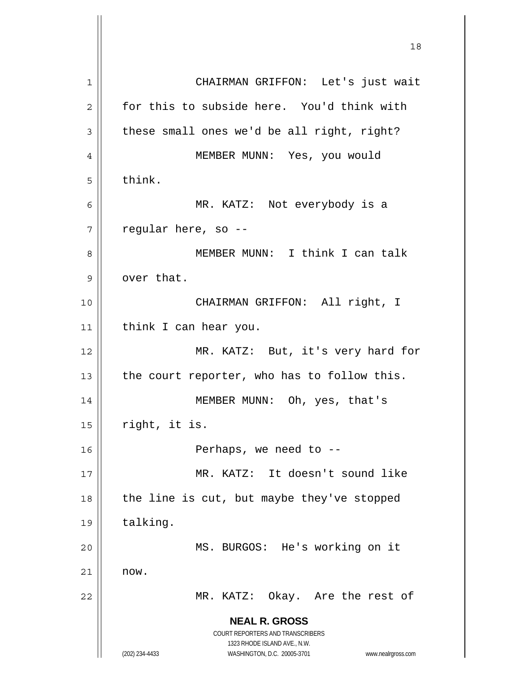**NEAL R. GROSS** COURT REPORTERS AND TRANSCRIBERS 1323 RHODE ISLAND AVE., N.W. (202) 234-4433 WASHINGTON, D.C. 20005-3701 www.nealrgross.com 18 1 2 3 4 5 6 7 8 9 10 11 12 13 14 15 16 17 18 19 20 21 22 CHAIRMAN GRIFFON: Let's just wait for this to subside here. You'd think with these small ones we'd be all right, right? MEMBER MUNN: Yes, you would think. MR. KATZ: Not everybody is a regular here, so -- MEMBER MUNN: I think I can talk over that. CHAIRMAN GRIFFON: All right, I think I can hear you. MR. KATZ: But, it's very hard for the court reporter, who has to follow this. MEMBER MUNN: Oh, yes, that's right, it is. Perhaps, we need to -- MR. KATZ: It doesn't sound like the line is cut, but maybe they've stopped talking. MS. BURGOS: He's working on it now. MR. KATZ: Okay. Are the rest of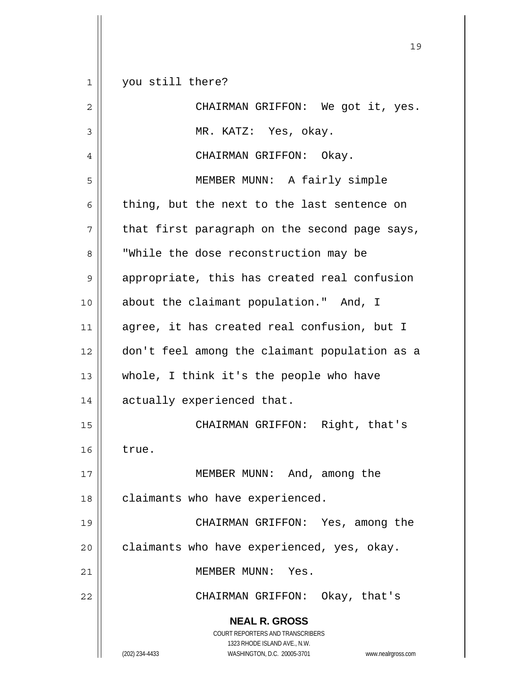**NEAL R. GROSS** COURT REPORTERS AND TRANSCRIBERS 1323 RHODE ISLAND AVE., N.W. 1 2 3 4 5 6 7 8 9 10 11 12 13 14 15 16 17 18 19 20 21 22 you still there? CHAIRMAN GRIFFON: We got it, yes. MR. KATZ: Yes, okay. CHAIRMAN GRIFFON: Okay. MEMBER MUNN: A fairly simple thing, but the next to the last sentence on that first paragraph on the second page says, "While the dose reconstruction may be appropriate, this has created real confusion about the claimant population." And, I agree, it has created real confusion, but I don't feel among the claimant population as a whole, I think it's the people who have actually experienced that. CHAIRMAN GRIFFON: Right, that's true. MEMBER MUNN: And, among the claimants who have experienced. CHAIRMAN GRIFFON: Yes, among the claimants who have experienced, yes, okay. MEMBER MUNN: Yes. CHAIRMAN GRIFFON: Okay, that's

19

(202) 234-4433 WASHINGTON, D.C. 20005-3701 www.nealrgross.com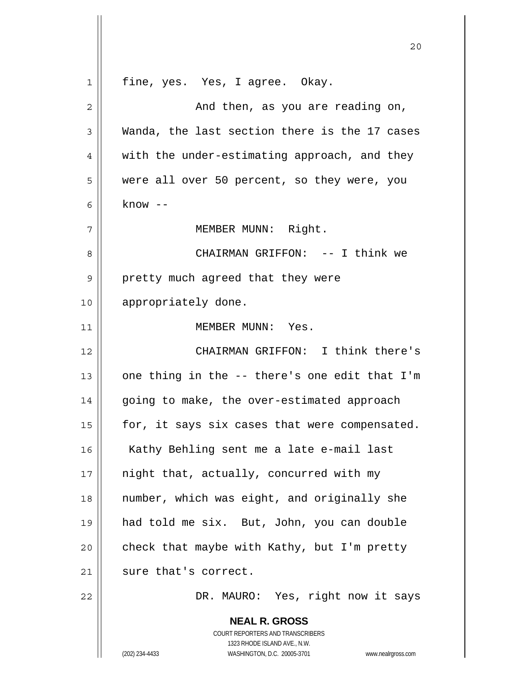**NEAL R. GROSS** COURT REPORTERS AND TRANSCRIBERS 1323 RHODE ISLAND AVE., N.W. 20 1 2 3 4 5 6 7 8 9 10 11 12 13 14 15 16 17 18 19 20 21 22 fine, yes. Yes, I agree. Okay. And then, as you are reading on, Wanda, the last section there is the 17 cases with the under-estimating approach, and they were all over 50 percent, so they were, you  $know --$  MEMBER MUNN: Right. CHAIRMAN GRIFFON: -- I think we pretty much agreed that they were appropriately done. MEMBER MUNN: Yes. CHAIRMAN GRIFFON: I think there's one thing in the -- there's one edit that I'm going to make, the over-estimated approach for, it says six cases that were compensated. Kathy Behling sent me a late e-mail last night that, actually, concurred with my number, which was eight, and originally she had told me six. But, John, you can double check that maybe with Kathy, but I'm pretty sure that's correct. DR. MAURO: Yes, right now it says

(202) 234-4433 WASHINGTON, D.C. 20005-3701 www.nealrgross.com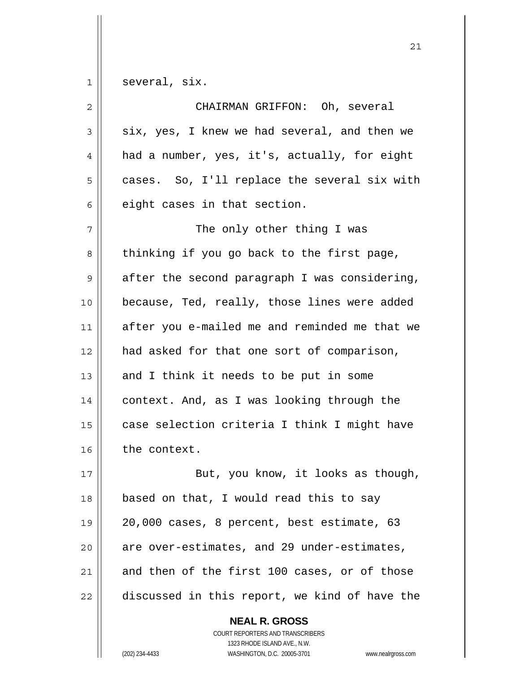1 several, six.

| $\overline{2}$ | CHAIRMAN GRIFFON: Oh, several                 |
|----------------|-----------------------------------------------|
| 3              | six, yes, I knew we had several, and then we  |
| 4              | had a number, yes, it's, actually, for eight  |
| 5              | cases. So, I'll replace the several six with  |
| 6              | eight cases in that section.                  |
| 7              | The only other thing I was                    |
| 8              | thinking if you go back to the first page,    |
| 9              | after the second paragraph I was considering, |
| 10             | because, Ted, really, those lines were added  |
| 11             | after you e-mailed me and reminded me that we |
| 12             | had asked for that one sort of comparison,    |
| 13             | and I think it needs to be put in some        |
| 14             | context. And, as I was looking through the    |
| 15             | case selection criteria I think I might have  |
| 16             | the context.                                  |
| 17             | But, you know, it looks as though,            |
| 18             | based on that, I would read this to say       |
| 19             | 20,000 cases, 8 percent, best estimate, 63    |
| 20             | are over-estimates, and 29 under-estimates,   |
| 21             | and then of the first 100 cases, or of those  |
| 22             | discussed in this report, we kind of have the |

COURT REPORTERS AND TRANSCRIBERS 1323 RHODE ISLAND AVE., N.W. (202) 234-4433 WASHINGTON, D.C. 20005-3701 www.nealrgross.com

**NEAL R. GROSS**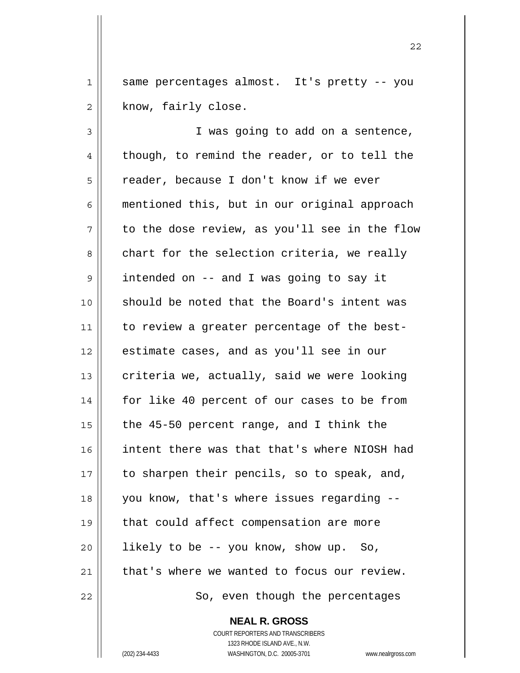1 2 same percentages almost. It's pretty -- you know, fairly close.

22

3 4 5 6 7 8 9 10 11 12 13 14 15 16 17 18 19 20 21 22 I was going to add on a sentence, though, to remind the reader, or to tell the reader, because I don't know if we ever mentioned this, but in our original approach to the dose review, as you'll see in the flow chart for the selection criteria, we really intended on -- and I was going to say it should be noted that the Board's intent was to review a greater percentage of the bestestimate cases, and as you'll see in our criteria we, actually, said we were looking for like 40 percent of our cases to be from the 45-50 percent range, and I think the intent there was that that's where NIOSH had to sharpen their pencils, so to speak, and, you know, that's where issues regarding - that could affect compensation are more likely to be -- you know, show up. So, that's where we wanted to focus our review. So, even though the percentages

**NEAL R. GROSS**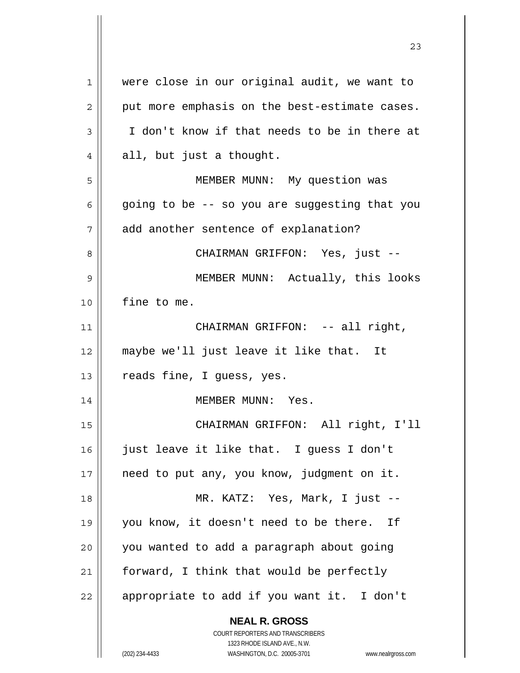**NEAL R. GROSS** COURT REPORTERS AND TRANSCRIBERS 1323 RHODE ISLAND AVE., N.W. (202) 234-4433 WASHINGTON, D.C. 20005-3701 www.nealrgross.com 1 2 3 4 5 6 7 8 9 10 11 12 13 14 15 16 17 18 19 20 21 22 were close in our original audit, we want to put more emphasis on the best-estimate cases. I don't know if that needs to be in there at all, but just a thought. MEMBER MUNN: My question was going to be -- so you are suggesting that you add another sentence of explanation? CHAIRMAN GRIFFON: Yes, just -- MEMBER MUNN: Actually, this looks fine to me. CHAIRMAN GRIFFON: -- all right, maybe we'll just leave it like that. It reads fine, I guess, yes. MEMBER MUNN: Yes. CHAIRMAN GRIFFON: All right, I'll just leave it like that. I guess I don't need to put any, you know, judgment on it. MR. KATZ: Yes, Mark, I just - you know, it doesn't need to be there. If you wanted to add a paragraph about going forward, I think that would be perfectly appropriate to add if you want it. I don't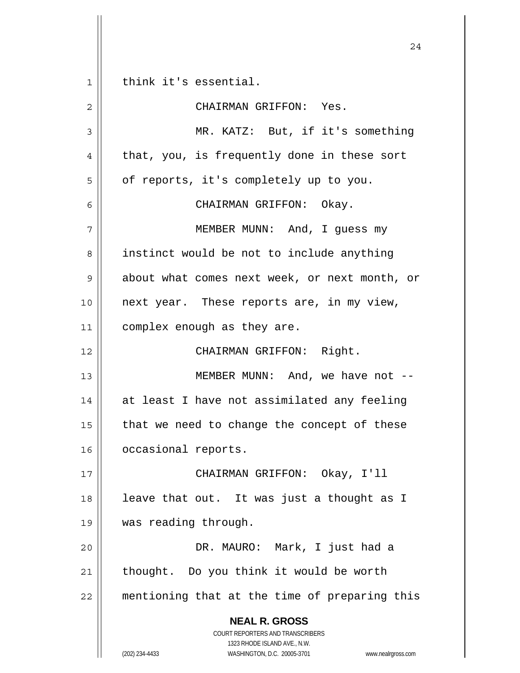**NEAL R. GROSS** COURT REPORTERS AND TRANSCRIBERS 1323 RHODE ISLAND AVE., N.W. (202) 234-4433 WASHINGTON, D.C. 20005-3701 www.nealrgross.com 24 1 2 3 4 5 6 7 8 9 10 11 12 13 14 15 16 17 18 19 20 21 22 think it's essential. CHAIRMAN GRIFFON: Yes. MR. KATZ: But, if it's something that, you, is frequently done in these sort of reports, it's completely up to you. CHAIRMAN GRIFFON: Okay. MEMBER MUNN: And, I guess my instinct would be not to include anything about what comes next week, or next month, or next year. These reports are, in my view, complex enough as they are. CHAIRMAN GRIFFON: Right. MEMBER MUNN: And, we have not - at least I have not assimilated any feeling that we need to change the concept of these occasional reports. CHAIRMAN GRIFFON: Okay, I'll leave that out. It was just a thought as I was reading through. DR. MAURO: Mark, I just had a thought. Do you think it would be worth mentioning that at the time of preparing this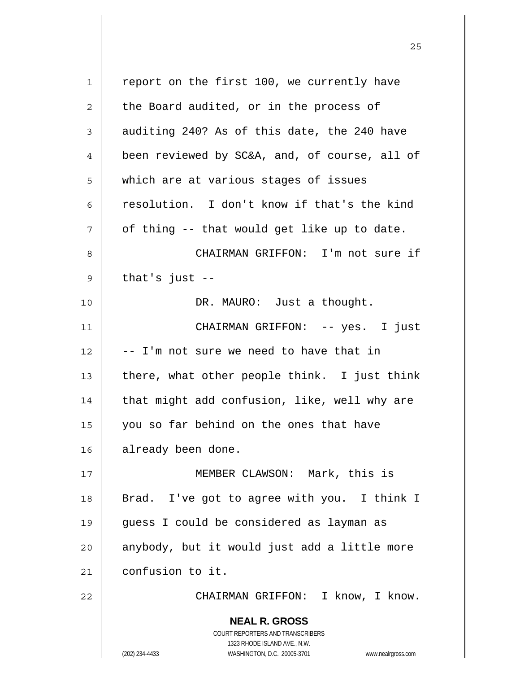**NEAL R. GROSS** COURT REPORTERS AND TRANSCRIBERS 1323 RHODE ISLAND AVE., N.W. (202) 234-4433 WASHINGTON, D.C. 20005-3701 www.nealrgross.com 1 2 3 4 5 6 7 8 9 10 11 12 13 14 15 16 17 18 19 20 21 22 report on the first 100, we currently have the Board audited, or in the process of auditing 240? As of this date, the 240 have been reviewed by SC&A, and, of course, all of which are at various stages of issues resolution. I don't know if that's the kind of thing -- that would get like up to date. CHAIRMAN GRIFFON: I'm not sure if that's just -- DR. MAURO: Just a thought. CHAIRMAN GRIFFON: -- yes. I just -- I'm not sure we need to have that in there, what other people think. I just think that might add confusion, like, well why are you so far behind on the ones that have already been done. MEMBER CLAWSON: Mark, this is Brad. I've got to agree with you. I think I guess I could be considered as layman as anybody, but it would just add a little more confusion to it. CHAIRMAN GRIFFON: I know, I know.

<u>25</u>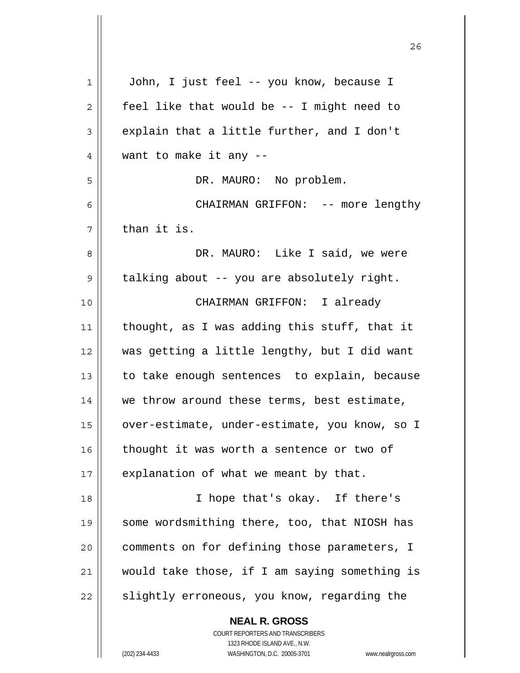| 1  | John, I just feel -- you know, because I                                                            |
|----|-----------------------------------------------------------------------------------------------------|
| 2  | feel like that would be -- I might need to                                                          |
| 3  | explain that a little further, and I don't                                                          |
| 4  | want to make it any --                                                                              |
| 5  | DR. MAURO: No problem.                                                                              |
| 6  | CHAIRMAN GRIFFON: -- more lengthy                                                                   |
| 7  | than it is.                                                                                         |
| 8  | DR. MAURO: Like I said, we were                                                                     |
| 9  | talking about -- you are absolutely right.                                                          |
| 10 | CHAIRMAN GRIFFON: I already                                                                         |
| 11 | thought, as I was adding this stuff, that it                                                        |
| 12 | was getting a little lengthy, but I did want                                                        |
| 13 | to take enough sentences to explain, because                                                        |
| 14 | we throw around these terms, best estimate,                                                         |
| 15 | over-estimate, under-estimate, you know, so I                                                       |
| 16 | thought it was worth a sentence or two of                                                           |
| 17 | explanation of what we meant by that.                                                               |
| 18 | I hope that's okay. If there's                                                                      |
| 19 | some wordsmithing there, too, that NIOSH has                                                        |
| 20 | comments on for defining those parameters, I                                                        |
| 21 | would take those, if I am saying something is                                                       |
| 22 | slightly erroneous, you know, regarding the                                                         |
|    | <b>NEAL R. GROSS</b>                                                                                |
|    | COURT REPORTERS AND TRANSCRIBERS                                                                    |
|    | 1323 RHODE ISLAND AVE., N.W.<br>WASHINGTON, D.C. 20005-3701<br>(202) 234-4433<br>www.nealrgross.com |
|    |                                                                                                     |

<u>26</u>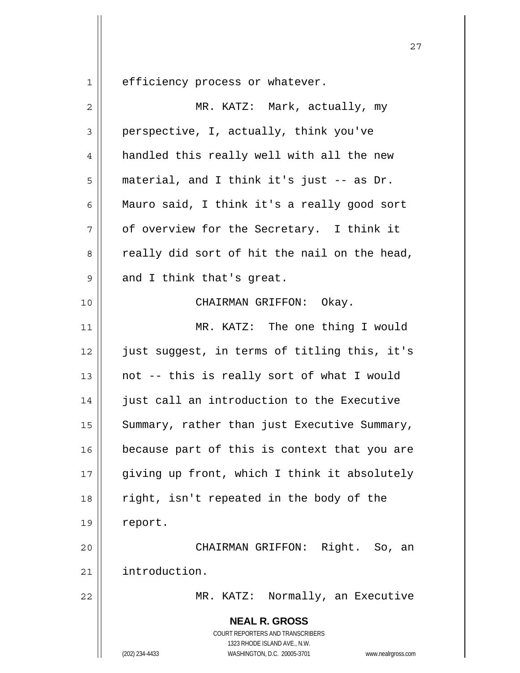efficiency process or whatever.

1

| $\sqrt{2}$  | MR. KATZ: Mark, actually, my                                                                                                                                    |
|-------------|-----------------------------------------------------------------------------------------------------------------------------------------------------------------|
| 3           | perspective, I, actually, think you've                                                                                                                          |
| 4           | handled this really well with all the new                                                                                                                       |
| 5           | material, and I think it's just -- as Dr.                                                                                                                       |
| 6           | Mauro said, I think it's a really good sort                                                                                                                     |
| 7           | of overview for the Secretary. I think it                                                                                                                       |
| 8           | really did sort of hit the nail on the head,                                                                                                                    |
| $\mathsf 9$ | and I think that's great.                                                                                                                                       |
| 10          | CHAIRMAN GRIFFON: Okay.                                                                                                                                         |
| 11          | MR. KATZ: The one thing I would                                                                                                                                 |
| 12          | just suggest, in terms of titling this, it's                                                                                                                    |
| 13          | not -- this is really sort of what I would                                                                                                                      |
| 14          | just call an introduction to the Executive                                                                                                                      |
| 15          | Summary, rather than just Executive Summary,                                                                                                                    |
| 16          | because part of this is context that you are                                                                                                                    |
| $17$        | giving up front, which I think it absolutely                                                                                                                    |
| 18          | right, isn't repeated in the body of the                                                                                                                        |
| 19          | report.                                                                                                                                                         |
| 20          | CHAIRMAN GRIFFON: Right. So, an                                                                                                                                 |
| 21          | introduction.                                                                                                                                                   |
| 22          | MR. KATZ: Normally, an Executive                                                                                                                                |
|             | <b>NEAL R. GROSS</b><br>COURT REPORTERS AND TRANSCRIBERS<br>1323 RHODE ISLAND AVE., N.W.<br>(202) 234-4433<br>WASHINGTON, D.C. 20005-3701<br>www.nealrgross.com |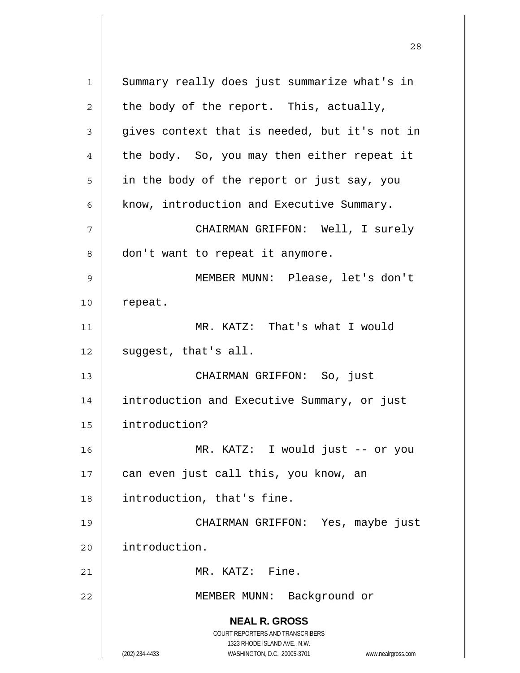**NEAL R. GROSS** COURT REPORTERS AND TRANSCRIBERS 1323 RHODE ISLAND AVE., N.W. (202) 234-4433 WASHINGTON, D.C. 20005-3701 www.nealrgross.com 1 2 3 4 5 6 7 8 9 10 11 12 13 14 15 16 17 18 19 20 21 22 Summary really does just summarize what's in the body of the report. This, actually, gives context that is needed, but it's not in the body. So, you may then either repeat it in the body of the report or just say, you know, introduction and Executive Summary. CHAIRMAN GRIFFON: Well, I surely don't want to repeat it anymore. MEMBER MUNN: Please, let's don't repeat. MR. KATZ: That's what I would suggest, that's all. CHAIRMAN GRIFFON: So, just introduction and Executive Summary, or just introduction? MR. KATZ: I would just -- or you can even just call this, you know, an introduction, that's fine. CHAIRMAN GRIFFON: Yes, maybe just introduction. MR. KATZ: Fine. MEMBER MUNN: Background or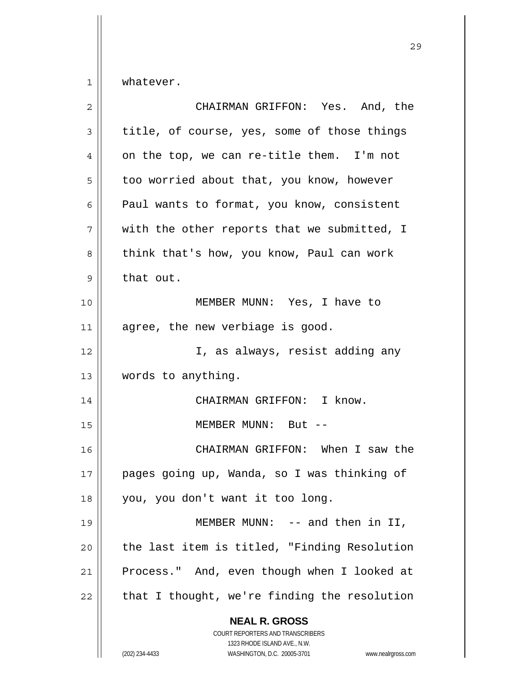1 whatever.

| $\overline{2}$ | CHAIRMAN GRIFFON: Yes. And, the                                                                                                                                 |
|----------------|-----------------------------------------------------------------------------------------------------------------------------------------------------------------|
| $\mathsf 3$    | title, of course, yes, some of those things                                                                                                                     |
| 4              | on the top, we can re-title them. I'm not                                                                                                                       |
| 5              | too worried about that, you know, however                                                                                                                       |
| 6              | Paul wants to format, you know, consistent                                                                                                                      |
| 7              | with the other reports that we submitted, I                                                                                                                     |
| 8              | think that's how, you know, Paul can work                                                                                                                       |
| 9              | that out.                                                                                                                                                       |
| 10             | MEMBER MUNN: Yes, I have to                                                                                                                                     |
| 11             | agree, the new verbiage is good.                                                                                                                                |
| 12             | I, as always, resist adding any                                                                                                                                 |
| 13             | words to anything.                                                                                                                                              |
| 14             | CHAIRMAN GRIFFON: I know.                                                                                                                                       |
| 15             | MEMBER MUNN: But --                                                                                                                                             |
| 16             | CHAIRMAN GRIFFON: When I saw the                                                                                                                                |
| 17             | pages going up, Wanda, so I was thinking of                                                                                                                     |
| 18             | you, you don't want it too long.                                                                                                                                |
| 19             | MEMBER MUNN: $--$ and then in II,                                                                                                                               |
| 20             | the last item is titled, "Finding Resolution                                                                                                                    |
| 21             | Process." And, even though when I looked at                                                                                                                     |
| 22             | that I thought, we're finding the resolution                                                                                                                    |
|                | <b>NEAL R. GROSS</b><br>COURT REPORTERS AND TRANSCRIBERS<br>1323 RHODE ISLAND AVE., N.W.<br>(202) 234-4433<br>WASHINGTON, D.C. 20005-3701<br>www.nealrgross.com |

<u>29</u>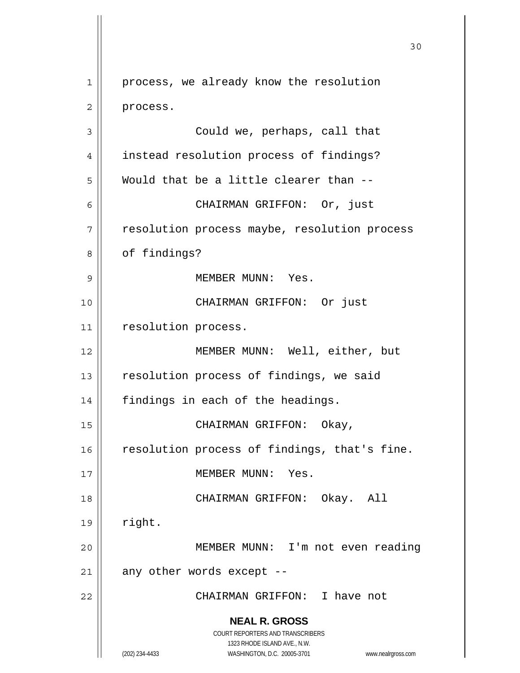**NEAL R. GROSS** COURT REPORTERS AND TRANSCRIBERS 1323 RHODE ISLAND AVE., N.W. (202) 234-4433 WASHINGTON, D.C. 20005-3701 www.nealrgross.com 30 1 2 3 4 5 6 7 8 9 10 11 12 13 14 15 16 17 18 19 20 21 22 process, we already know the resolution process. Could we, perhaps, call that instead resolution process of findings? Would that be a little clearer than -- CHAIRMAN GRIFFON: Or, just resolution process maybe, resolution process of findings? MEMBER MUNN: Yes. CHAIRMAN GRIFFON: Or just resolution process. MEMBER MUNN: Well, either, but resolution process of findings, we said findings in each of the headings. CHAIRMAN GRIFFON: Okay, resolution process of findings, that's fine. MEMBER MUNN: Yes. CHAIRMAN GRIFFON: Okay. All right. MEMBER MUNN: I'm not even reading any other words except -- CHAIRMAN GRIFFON: I have not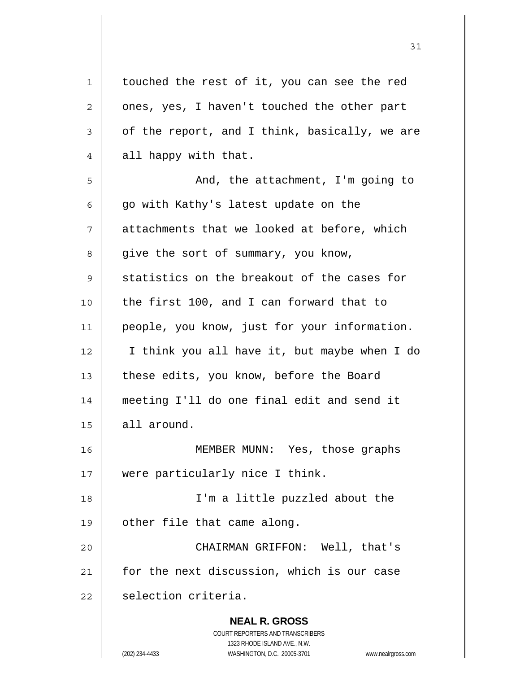**NEAL R. GROSS** COURT REPORTERS AND TRANSCRIBERS 1323 RHODE ISLAND AVE., N.W. (202) 234-4433 WASHINGTON, D.C. 20005-3701 www.nealrgross.com 1 2 3 4 5 6 7 8 9 10 11 12 13 14 15 16 17 18 19 20 21 22 touched the rest of it, you can see the red ones, yes, I haven't touched the other part of the report, and I think, basically, we are all happy with that. And, the attachment, I'm going to go with Kathy's latest update on the attachments that we looked at before, which give the sort of summary, you know, statistics on the breakout of the cases for the first 100, and I can forward that to people, you know, just for your information. I think you all have it, but maybe when I do these edits, you know, before the Board meeting I'll do one final edit and send it all around. MEMBER MUNN: Yes, those graphs were particularly nice I think. I'm a little puzzled about the other file that came along. CHAIRMAN GRIFFON: Well, that's for the next discussion, which is our case selection criteria.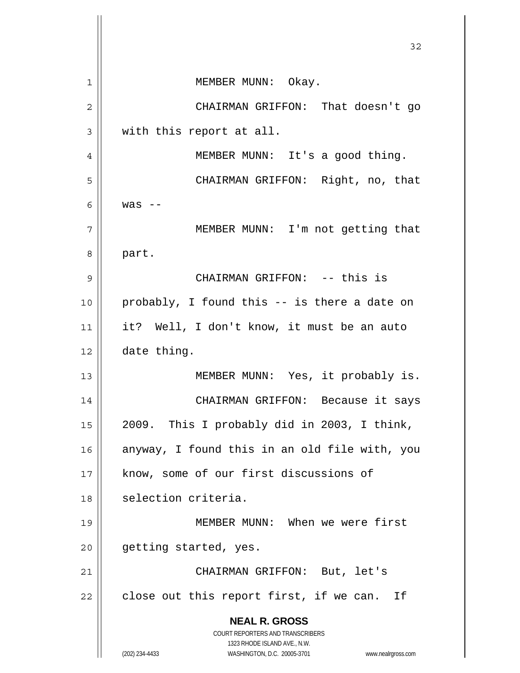**NEAL R. GROSS** COURT REPORTERS AND TRANSCRIBERS 1323 RHODE ISLAND AVE., N.W. (202) 234-4433 WASHINGTON, D.C. 20005-3701 www.nealrgross.com 32 1 2 3 4 5 6 7 8 9 10 11 12 13 14 15 16 17 18 19 20 21 22 MEMBER MUNN: Okay. CHAIRMAN GRIFFON: That doesn't go with this report at all. MEMBER MUNN: It's a good thing. CHAIRMAN GRIFFON: Right, no, that was  $--$  MEMBER MUNN: I'm not getting that part. CHAIRMAN GRIFFON: -- this is probably, I found this -- is there a date on it? Well, I don't know, it must be an auto date thing. MEMBER MUNN: Yes, it probably is. CHAIRMAN GRIFFON: Because it says 2009. This I probably did in 2003, I think, anyway, I found this in an old file with, you know, some of our first discussions of selection criteria. MEMBER MUNN: When we were first getting started, yes. CHAIRMAN GRIFFON: But, let's close out this report first, if we can. If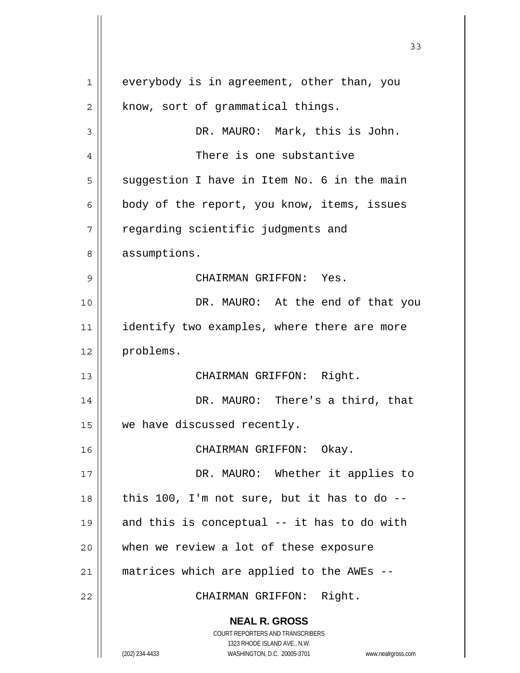**NEAL R. GROSS** COURT REPORTERS AND TRANSCRIBERS 1323 RHODE ISLAND AVE., N.W. (202) 234-4433 WASHINGTON, D.C. 20005-3701 www.nealrgross.com 33 1 2 3 4 5 6 7 8 9 10 11 12 13 14 15 16 17 18 19 20 21 22 everybody is in agreement, other than, you know, sort of grammatical things. DR. MAURO: Mark, this is John. There is one substantive suggestion I have in Item No. 6 in the main body of the report, you know, items, issues regarding scientific judgments and assumptions. CHAIRMAN GRIFFON: Yes. DR. MAURO: At the end of that you identify two examples, where there are more problems. CHAIRMAN GRIFFON: Right. DR. MAURO: There's a third, that we have discussed recently. CHAIRMAN GRIFFON: Okay. DR. MAURO: Whether it applies to this 100, I'm not sure, but it has to do - and this is conceptual -- it has to do with when we review a lot of these exposure matrices which are applied to the AWEs -- CHAIRMAN GRIFFON: Right.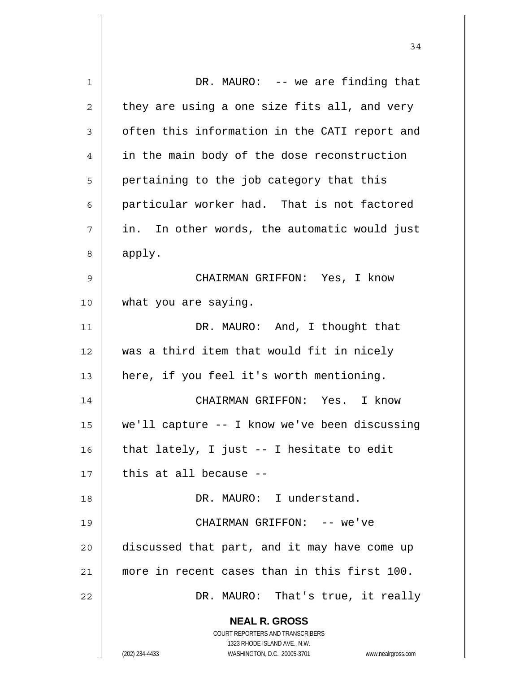**NEAL R. GROSS** COURT REPORTERS AND TRANSCRIBERS 1323 RHODE ISLAND AVE., N.W. (202) 234-4433 WASHINGTON, D.C. 20005-3701 www.nealrgross.com 1 2 3 4 5 6 7 8 9 10 11 12 13 14 15 16 17 18 19 20 21 22 DR. MAURO: -- we are finding that they are using a one size fits all, and very often this information in the CATI report and in the main body of the dose reconstruction pertaining to the job category that this particular worker had. That is not factored in. In other words, the automatic would just apply. CHAIRMAN GRIFFON: Yes, I know what you are saying. DR. MAURO: And, I thought that was a third item that would fit in nicely here, if you feel it's worth mentioning. CHAIRMAN GRIFFON: Yes. I know we'll capture -- I know we've been discussing that lately, I just -- I hesitate to edit this at all because -- DR. MAURO: I understand. CHAIRMAN GRIFFON: -- we've discussed that part, and it may have come up more in recent cases than in this first 100. DR. MAURO: That's true, it really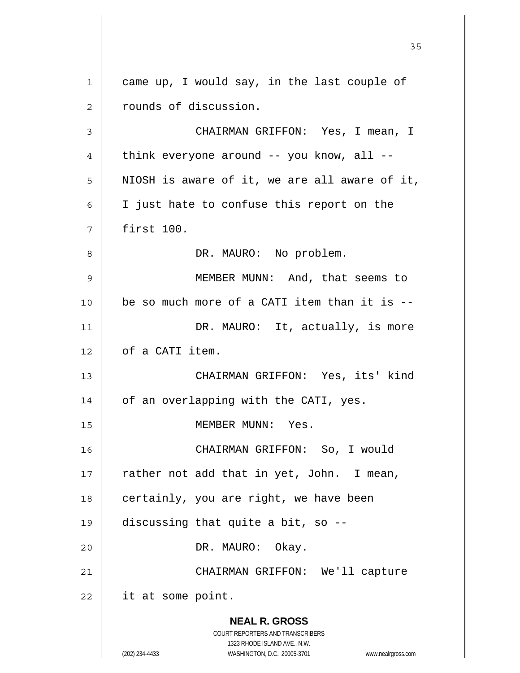**NEAL R. GROSS** COURT REPORTERS AND TRANSCRIBERS 1323 RHODE ISLAND AVE., N.W. (202) 234-4433 WASHINGTON, D.C. 20005-3701 www.nealrgross.com 1 2 3 4 5 6 7 8 9 10 11 12 13 14 15 16 17 18 19 20 21 22 came up, I would say, in the last couple of rounds of discussion. CHAIRMAN GRIFFON: Yes, I mean, I think everyone around -- you know, all -- NIOSH is aware of it, we are all aware of it, I just hate to confuse this report on the first 100. DR. MAURO: No problem. MEMBER MUNN: And, that seems to be so much more of a CATI item than it is -- DR. MAURO: It, actually, is more of a CATI item. CHAIRMAN GRIFFON: Yes, its' kind of an overlapping with the CATI, yes. MEMBER MUNN: Yes. CHAIRMAN GRIFFON: So, I would rather not add that in yet, John. I mean, certainly, you are right, we have been discussing that quite a bit, so -- DR. MAURO: Okay. CHAIRMAN GRIFFON: We'll capture it at some point.

<u>35</u>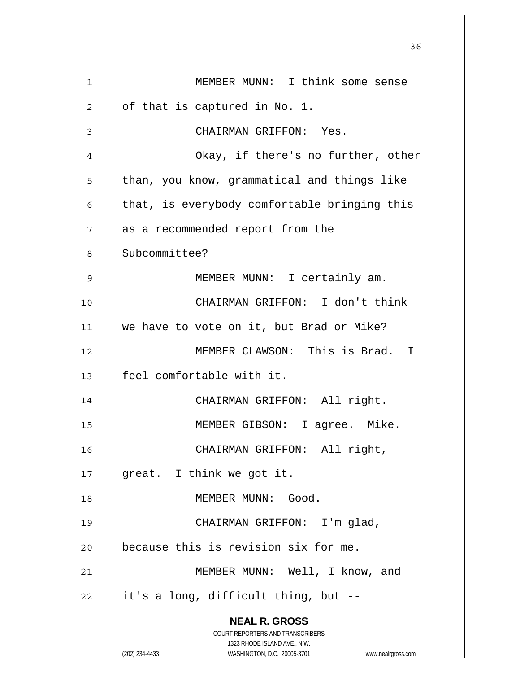| 1  | MEMBER MUNN: I think some sense                                     |
|----|---------------------------------------------------------------------|
| 2  | of that is captured in No. 1.                                       |
| 3  | CHAIRMAN GRIFFON: Yes.                                              |
| 4  | Okay, if there's no further, other                                  |
| 5  | than, you know, grammatical and things like                         |
| 6  | that, is everybody comfortable bringing this                        |
| 7  | as a recommended report from the                                    |
| 8  | Subcommittee?                                                       |
| 9  | MEMBER MUNN: I certainly am.                                        |
| 10 | CHAIRMAN GRIFFON: I don't think                                     |
| 11 | we have to vote on it, but Brad or Mike?                            |
| 12 | MEMBER CLAWSON: This is Brad. I                                     |
| 13 | feel comfortable with it.                                           |
| 14 | CHAIRMAN GRIFFON: All right.                                        |
| 15 | MEMBER GIBSON: I agree. Mike.                                       |
| 16 | CHAIRMAN GRIFFON: All right,                                        |
| 17 | great. I think we got it.                                           |
| 18 | MEMBER MUNN: Good.                                                  |
| 19 | CHAIRMAN GRIFFON: I'm glad,                                         |
| 20 | because this is revision six for me.                                |
| 21 | MEMBER MUNN: Well, I know, and                                      |
| 22 | it's a long, difficult thing, but --                                |
|    | <b>NEAL R. GROSS</b>                                                |
|    | <b>COURT REPORTERS AND TRANSCRIBERS</b>                             |
|    | 1323 RHODE ISLAND AVE., N.W.                                        |
|    | (202) 234-4433<br>WASHINGTON, D.C. 20005-3701<br>www.nealrgross.com |

<u>36 and 36</u>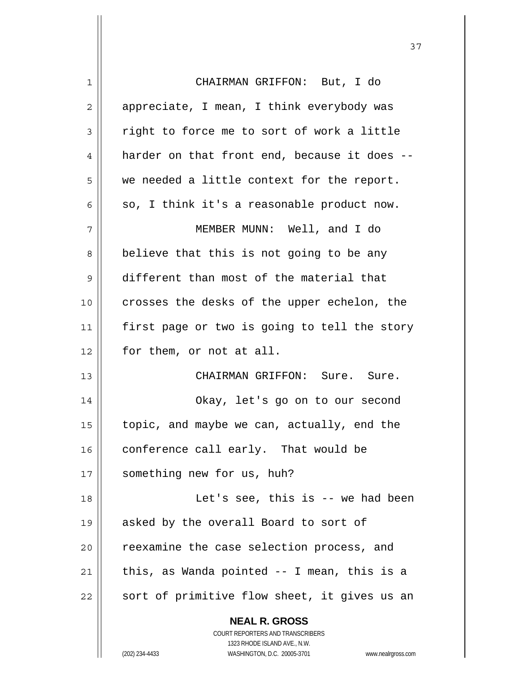| 1  | CHAIRMAN GRIFFON: But, I do                                         |
|----|---------------------------------------------------------------------|
| 2  | appreciate, I mean, I think everybody was                           |
| 3  | right to force me to sort of work a little                          |
| 4  | harder on that front end, because it does --                        |
| 5  | we needed a little context for the report.                          |
| 6  | so, I think it's a reasonable product now.                          |
| 7  | MEMBER MUNN: Well, and I do                                         |
| 8  | believe that this is not going to be any                            |
| 9  | different than most of the material that                            |
| 10 | crosses the desks of the upper echelon, the                         |
| 11 | first page or two is going to tell the story                        |
| 12 | for them, or not at all.                                            |
|    |                                                                     |
| 13 | CHAIRMAN GRIFFON: Sure. Sure.                                       |
| 14 | Okay, let's go on to our second                                     |
| 15 | topic, and maybe we can, actually, end the                          |
| 16 | conference call early. That would be                                |
| 17 | something new for us, huh?                                          |
| 18 | Let's see, this is $-$ we had been                                  |
| 19 | asked by the overall Board to sort of                               |
| 20 | reexamine the case selection process, and                           |
| 21 | this, as Wanda pointed -- I mean, this is a                         |
| 22 | sort of primitive flow sheet, it gives us an                        |
|    | <b>NEAL R. GROSS</b>                                                |
|    | COURT REPORTERS AND TRANSCRIBERS                                    |
|    | 1323 RHODE ISLAND AVE., N.W.                                        |
|    | (202) 234-4433<br>WASHINGTON, D.C. 20005-3701<br>www.nealrgross.com |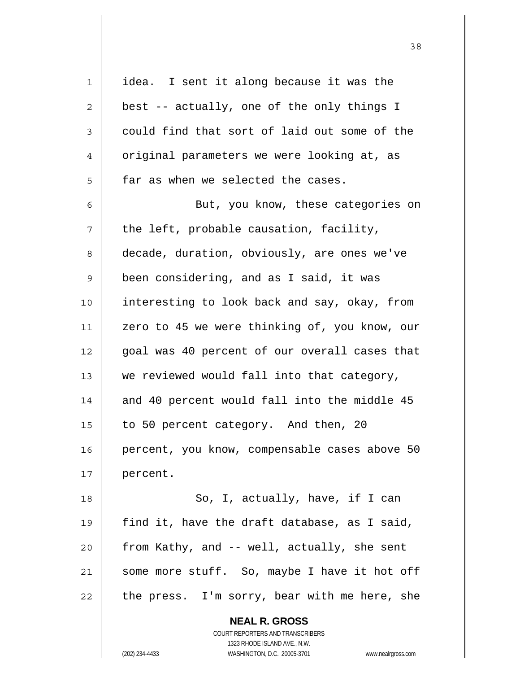| 1  | idea. I sent it along because it was the                                               |
|----|----------------------------------------------------------------------------------------|
| 2  | best -- actually, one of the only things I                                             |
| 3  | could find that sort of laid out some of the                                           |
| 4  | original parameters we were looking at, as                                             |
| 5  | far as when we selected the cases.                                                     |
| 6  | But, you know, these categories on                                                     |
| 7  | the left, probable causation, facility,                                                |
| 8  | decade, duration, obviously, are ones we've                                            |
| 9  | been considering, and as I said, it was                                                |
| 10 | interesting to look back and say, okay, from                                           |
| 11 | zero to 45 we were thinking of, you know, our                                          |
| 12 | goal was 40 percent of our overall cases that                                          |
| 13 | we reviewed would fall into that category,                                             |
| 14 | and 40 percent would fall into the middle 45                                           |
| 15 | to 50 percent category. And then, 20                                                   |
| 16 | percent, you know, compensable cases above 50                                          |
| 17 | percent.                                                                               |
| 18 | So, I, actually, have, if I can                                                        |
| 19 | find it, have the draft database, as I said,                                           |
| 20 | from Kathy, and -- well, actually, she sent                                            |
| 21 | some more stuff. So, maybe I have it hot off                                           |
| 22 | the press. I'm sorry, bear with me here, she                                           |
|    | <b>NEAL R. GROSS</b><br>COURT REPORTERS AND TRANSCRIBERS<br>1323 DHODE ISLAND AVE N.W. |

<u>38</u>

1323 RHODE ISLAND AVE., N.W.

 $\prod_{i=1}^{n}$ 

(202) 234-4433 WASHINGTON, D.C. 20005-3701 www.nealrgross.com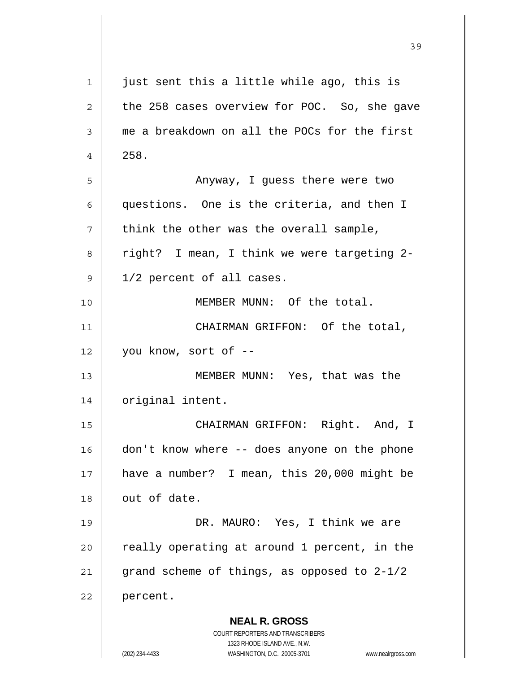| 1            | just sent this a little while ago, this is                                                          |
|--------------|-----------------------------------------------------------------------------------------------------|
| $\mathbf{2}$ | the 258 cases overview for POC. So, she gave                                                        |
| 3            | me a breakdown on all the POCs for the first                                                        |
| 4            | 258.                                                                                                |
| 5            | Anyway, I guess there were two                                                                      |
| 6            | questions. One is the criteria, and then I                                                          |
| 7            | think the other was the overall sample,                                                             |
| 8            | right? I mean, I think we were targeting 2-                                                         |
| 9            | 1/2 percent of all cases.                                                                           |
| 10           | MEMBER MUNN: Of the total.                                                                          |
| 11           | CHAIRMAN GRIFFON: Of the total,                                                                     |
| 12           | you know, sort of --                                                                                |
| 13           | MEMBER MUNN: Yes, that was the                                                                      |
| 14           | original intent.                                                                                    |
| 15           | CHAIRMAN GRIFFON: Right. And, I                                                                     |
| 16           | don't know where -- does anyone on the phone                                                        |
| 17           | have a number? I mean, this 20,000 might be                                                         |
| 18           | out of date.                                                                                        |
| 19           | DR. MAURO: Yes, I think we are                                                                      |
| 20           | really operating at around 1 percent, in the                                                        |
| 21           | grand scheme of things, as opposed to 2-1/2                                                         |
| 22           | percent.                                                                                            |
|              | <b>NEAL R. GROSS</b>                                                                                |
|              | COURT REPORTERS AND TRANSCRIBERS                                                                    |
|              | 1323 RHODE ISLAND AVE., N.W.<br>(202) 234-4433<br>WASHINGTON, D.C. 20005-3701<br>www.nealrgross.com |

39

 $\mathbf{\mathsf{I}}$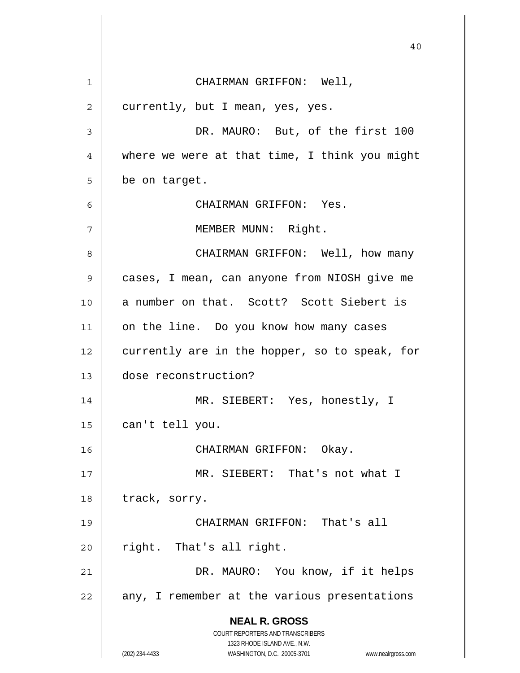**NEAL R. GROSS** COURT REPORTERS AND TRANSCRIBERS 1323 RHODE ISLAND AVE., N.W. (202) 234-4433 WASHINGTON, D.C. 20005-3701 www.nealrgross.com 40 1 2 3 4 5 6 7 8 9 10 11 12 13 14 15 16 17 18 19 20 21 22 CHAIRMAN GRIFFON: Well, currently, but I mean, yes, yes. DR. MAURO: But, of the first 100 where we were at that time, I think you might be on target. CHAIRMAN GRIFFON: Yes. MEMBER MUNN: Right. CHAIRMAN GRIFFON: Well, how many cases, I mean, can anyone from NIOSH give me a number on that. Scott? Scott Siebert is on the line. Do you know how many cases currently are in the hopper, so to speak, for dose reconstruction? MR. SIEBERT: Yes, honestly, I can't tell you. CHAIRMAN GRIFFON: Okay. MR. SIEBERT: That's not what I track, sorry. CHAIRMAN GRIFFON: That's all right. That's all right. DR. MAURO: You know, if it helps any, I remember at the various presentations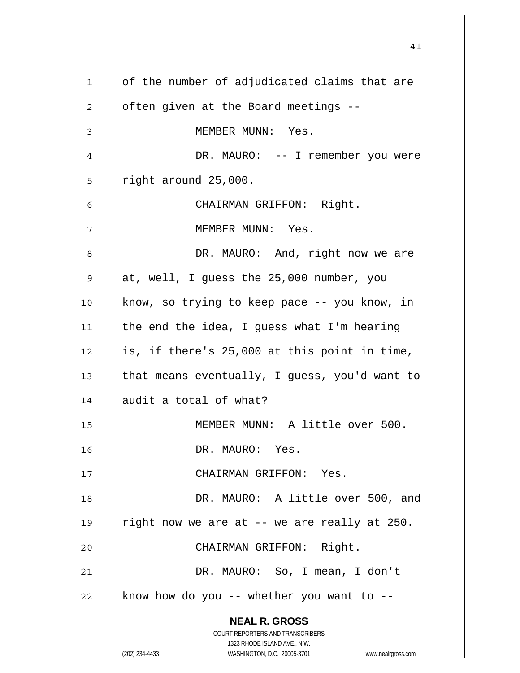**NEAL R. GROSS** COURT REPORTERS AND TRANSCRIBERS 1323 RHODE ISLAND AVE., N.W. (202) 234-4433 WASHINGTON, D.C. 20005-3701 www.nealrgross.com 1 2 3 4 5 6 7 8 9 10 11 12 13 14 15 16 17 18 19 20 21 22 of the number of adjudicated claims that are often given at the Board meetings -- MEMBER MUNN: Yes. DR. MAURO: -- I remember you were right around 25,000. CHAIRMAN GRIFFON: Right. MEMBER MUNN: Yes. DR. MAURO: And, right now we are at, well, I guess the 25,000 number, you know, so trying to keep pace -- you know, in the end the idea, I guess what I'm hearing is, if there's 25,000 at this point in time, that means eventually, I guess, you'd want to audit a total of what? MEMBER MUNN: A little over 500. DR. MAURO: Yes. CHAIRMAN GRIFFON: Yes. DR. MAURO: A little over 500, and right now we are at -- we are really at 250. CHAIRMAN GRIFFON: Right. DR. MAURO: So, I mean, I don't know how do you  $--$  whether you want to  $--$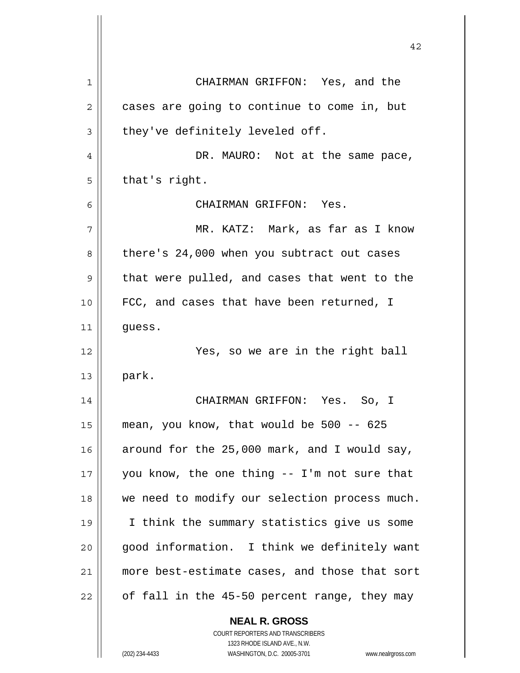| 1  | CHAIRMAN GRIFFON: Yes, and the                |
|----|-----------------------------------------------|
| 2  | cases are going to continue to come in, but   |
| 3  | they've definitely leveled off.               |
| 4  | DR. MAURO: Not at the same pace,              |
| 5  | that's right.                                 |
| 6  | CHAIRMAN GRIFFON: Yes.                        |
| 7  | MR. KATZ: Mark, as far as I know              |
| 8  | there's 24,000 when you subtract out cases    |
| 9  | that were pulled, and cases that went to the  |
| 10 | FCC, and cases that have been returned, I     |
| 11 | guess.                                        |
| 12 | Yes, so we are in the right ball              |
| 13 | park.                                         |
| 14 | CHAIRMAN GRIFFON: Yes. So, I                  |
| 15 | mean, you know, that would be 500 -- 625      |
| 16 | around for the 25,000 mark, and I would say,  |
| 17 | you know, the one thing -- I'm not sure that  |
| 18 | we need to modify our selection process much. |
| 19 | I think the summary statistics give us some   |
| 20 | good information. I think we definitely want  |
| 21 | more best-estimate cases, and those that sort |
| 22 | of fall in the 45-50 percent range, they may  |
|    | <b>NEAL R. GROSS</b>                          |

COURT REPORTERS AND TRANSCRIBERS 1323 RHODE ISLAND AVE., N.W.

 $\prod$ 

(202) 234-4433 WASHINGTON, D.C. 20005-3701 www.nealrgross.com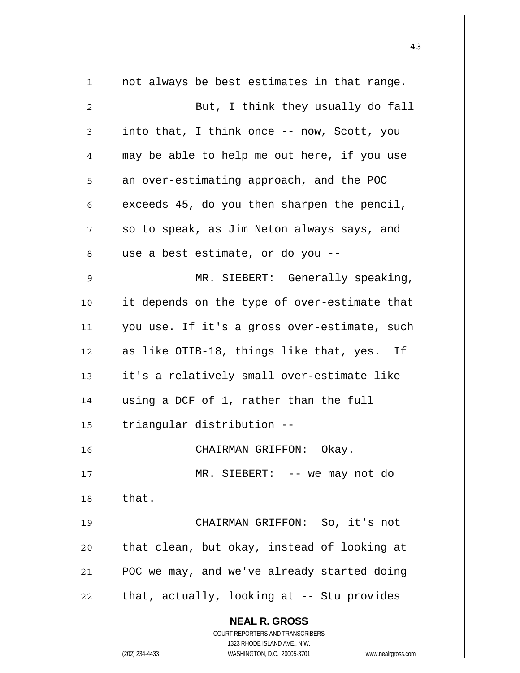| $\mathbf 1$ | not always be best estimates in that range.                         |
|-------------|---------------------------------------------------------------------|
| 2           | But, I think they usually do fall                                   |
| 3           | into that, I think once -- now, Scott, you                          |
| 4           | may be able to help me out here, if you use                         |
| 5           | an over-estimating approach, and the POC                            |
| 6           | exceeds 45, do you then sharpen the pencil,                         |
| 7           | so to speak, as Jim Neton always says, and                          |
| 8           | use a best estimate, or do you --                                   |
| $\mathsf 9$ | MR. SIEBERT: Generally speaking,                                    |
| 10          | it depends on the type of over-estimate that                        |
| 11          | you use. If it's a gross over-estimate, such                        |
| 12          | as like OTIB-18, things like that, yes. If                          |
| 13          | it's a relatively small over-estimate like                          |
| 14          | using a DCF of 1, rather than the full                              |
| 15          | triangular distribution --                                          |
| 16          | CHAIRMAN GRIFFON: Okay.                                             |
| 17          | MR. SIEBERT: -- we may not do                                       |
| 18          | that.                                                               |
| 19          | CHAIRMAN GRIFFON: So, it's not                                      |
| 20          | that clean, but okay, instead of looking at                         |
| 21          | POC we may, and we've already started doing                         |
| 22          | that, actually, looking at -- Stu provides                          |
|             | <b>NEAL R. GROSS</b>                                                |
|             | COURT REPORTERS AND TRANSCRIBERS                                    |
|             | 1323 RHODE ISLAND AVE., N.W.                                        |
|             | (202) 234-4433<br>WASHINGTON, D.C. 20005-3701<br>www.nealrgross.com |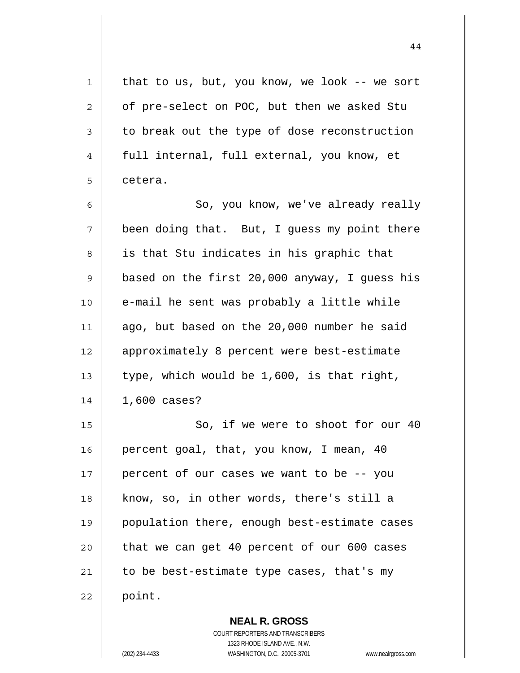1 2 3 4 5 6 7 8 9 10 11 12 13 14 15 16 17 18 19 20 21 22 that to us, but, you know, we look -- we sort of pre-select on POC, but then we asked Stu to break out the type of dose reconstruction full internal, full external, you know, et cetera. So, you know, we've already really been doing that. But, I guess my point there is that Stu indicates in his graphic that based on the first 20,000 anyway, I guess his e-mail he sent was probably a little while ago, but based on the 20,000 number he said approximately 8 percent were best-estimate type, which would be 1,600, is that right, 1,600 cases? So, if we were to shoot for our 40 percent goal, that, you know, I mean, 40 percent of our cases we want to be -- you know, so, in other words, there's still a population there, enough best-estimate cases that we can get 40 percent of our 600 cases to be best-estimate type cases, that's my point.

> COURT REPORTERS AND TRANSCRIBERS 1323 RHODE ISLAND AVE., N.W. (202) 234-4433 WASHINGTON, D.C. 20005-3701 www.nealrgross.com

**NEAL R. GROSS**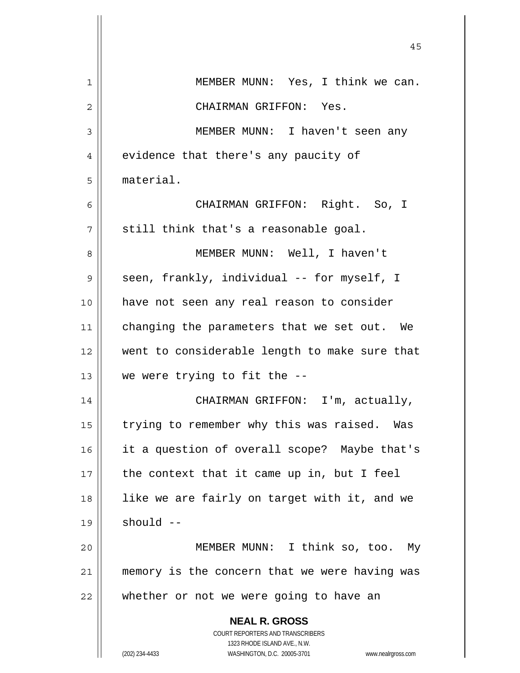|             | 45                                                                  |
|-------------|---------------------------------------------------------------------|
| $\mathbf 1$ | MEMBER MUNN: Yes, I think we can.                                   |
| 2           | CHAIRMAN GRIFFON: Yes.                                              |
| 3           | MEMBER MUNN: I haven't seen any                                     |
| 4           | evidence that there's any paucity of                                |
| 5           | material.                                                           |
| 6           | CHAIRMAN GRIFFON: Right. So, I                                      |
| 7           | still think that's a reasonable goal.                               |
| 8           | MEMBER MUNN: Well, I haven't                                        |
| 9           | seen, frankly, individual -- for myself, I                          |
| 10          | have not seen any real reason to consider                           |
| 11          | changing the parameters that we set out. We                         |
| 12          | went to considerable length to make sure that                       |
| 13          | we were trying to fit the --                                        |
| 14          | CHAIRMAN GRIFFON: I'm, actually,                                    |
| 15          | trying to remember why this was raised. Was                         |
| 16          | it a question of overall scope? Maybe that's                        |
| 17          | the context that it came up in, but I feel                          |
| 18          | like we are fairly on target with it, and we                        |
| 19          | $should --$                                                         |
| 20          | MEMBER MUNN: I think so, too.<br>My                                 |
| 21          | memory is the concern that we were having was                       |
| 22          | whether or not we were going to have an                             |
|             | <b>NEAL R. GROSS</b>                                                |
|             | COURT REPORTERS AND TRANSCRIBERS<br>1323 RHODE ISLAND AVE., N.W.    |
|             | (202) 234-4433<br>WASHINGTON, D.C. 20005-3701<br>www.nealrgross.com |

 $\overline{\phantom{a}}$ 

 $\mathbf{\mathbf{\mathsf{I}}}\mathbf{\mathsf{I}}$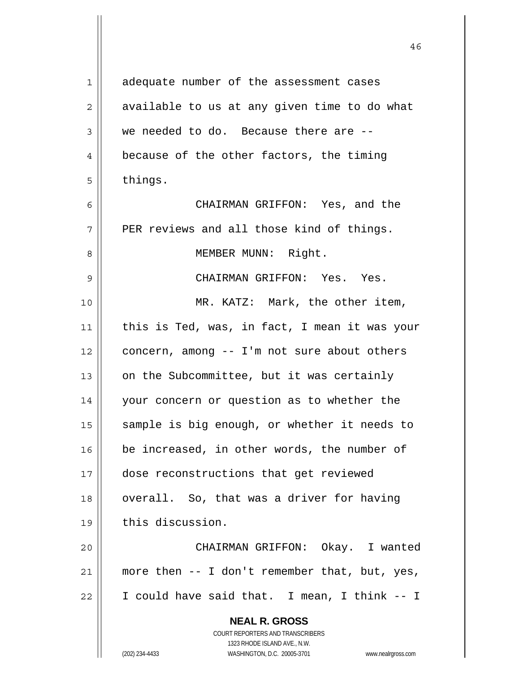| 1              | adequate number of the assessment cases                             |
|----------------|---------------------------------------------------------------------|
| $\overline{2}$ | available to us at any given time to do what                        |
| 3              | we needed to do. Because there are --                               |
| 4              | because of the other factors, the timing                            |
| 5              | things.                                                             |
| 6              | CHAIRMAN GRIFFON: Yes, and the                                      |
| 7              | PER reviews and all those kind of things.                           |
| 8              | MEMBER MUNN: Right.                                                 |
| 9              | CHAIRMAN GRIFFON: Yes. Yes.                                         |
| 10             | MR. KATZ: Mark, the other item,                                     |
| 11             | this is Ted, was, in fact, I mean it was your                       |
| 12             | concern, among -- I'm not sure about others                         |
| 13             | on the Subcommittee, but it was certainly                           |
| 14             | your concern or question as to whether the                          |
| 15             | sample is big enough, or whether it needs to                        |
| 16             | be increased, in other words, the number of                         |
| 17             | dose reconstructions that get reviewed                              |
| 18             | overall. So, that was a driver for having                           |
| 19             | this discussion.                                                    |
| 20             | CHAIRMAN GRIFFON: Okay. I wanted                                    |
| 21             | more then -- I don't remember that, but, yes,                       |
| 22             | I could have said that. I mean, I think -- I                        |
|                |                                                                     |
|                | <b>NEAL R. GROSS</b><br><b>COURT REPORTERS AND TRANSCRIBERS</b>     |
|                | 1323 RHODE ISLAND AVE., N.W.                                        |
|                | (202) 234-4433<br>WASHINGTON, D.C. 20005-3701<br>www.nealrgross.com |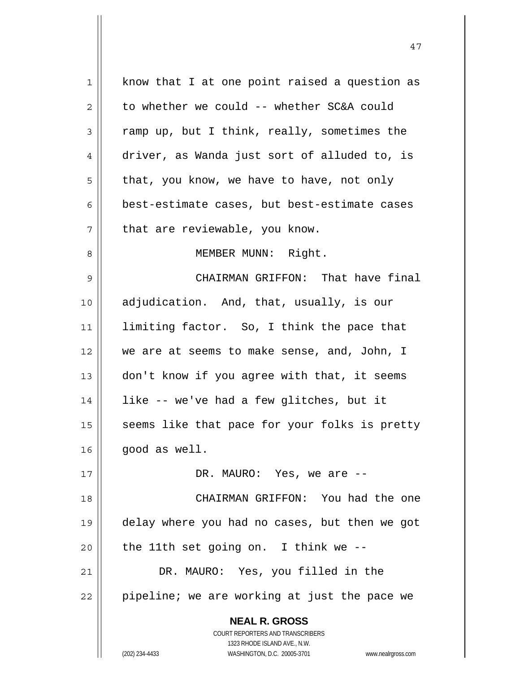| 1  | know that I at one point raised a question as                       |
|----|---------------------------------------------------------------------|
| 2  | to whether we could -- whether SC&A could                           |
| 3  | ramp up, but I think, really, sometimes the                         |
| 4  | driver, as Wanda just sort of alluded to, is                        |
| 5  | that, you know, we have to have, not only                           |
| 6  | best-estimate cases, but best-estimate cases                        |
| 7  | that are reviewable, you know.                                      |
| 8  | MEMBER MUNN: Right.                                                 |
| 9  | CHAIRMAN GRIFFON: That have final                                   |
| 10 | adjudication. And, that, usually, is our                            |
| 11 | limiting factor. So, I think the pace that                          |
| 12 | we are at seems to make sense, and, John, I                         |
| 13 | don't know if you agree with that, it seems                         |
| 14 | like -- we've had a few glitches, but it                            |
| 15 | seems like that pace for your folks is pretty                       |
| 16 | good as well.                                                       |
| 17 | DR. MAURO: Yes, we are --                                           |
| 18 | CHAIRMAN GRIFFON: You had the one                                   |
| 19 | delay where you had no cases, but then we got                       |
| 20 | the 11th set going on. I think we $-$ -                             |
| 21 | DR. MAURO: Yes, you filled in the                                   |
| 22 | pipeline; we are working at just the pace we                        |
|    | <b>NEAL R. GROSS</b>                                                |
|    | <b>COURT REPORTERS AND TRANSCRIBERS</b>                             |
|    | 1323 RHODE ISLAND AVE., N.W.                                        |
|    | (202) 234-4433<br>WASHINGTON, D.C. 20005-3701<br>www.nealrgross.com |

47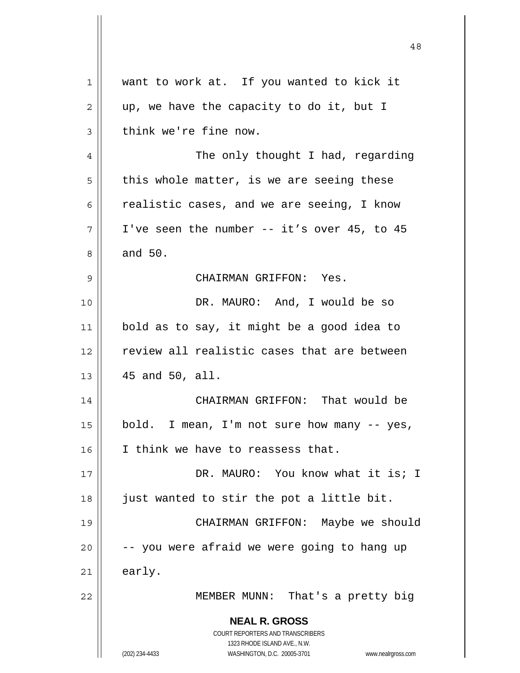| $\mathbf 1$    | want to work at. If you wanted to kick it                               |
|----------------|-------------------------------------------------------------------------|
| $\overline{2}$ | up, we have the capacity to do it, but I                                |
| 3              | think we're fine now.                                                   |
| 4              | The only thought I had, regarding                                       |
| 5              | this whole matter, is we are seeing these                               |
| 6              | realistic cases, and we are seeing, I know                              |
| 7              | I've seen the number -- it's over 45, to 45                             |
| 8              | and 50.                                                                 |
| 9              | CHAIRMAN GRIFFON: Yes.                                                  |
| 10             | DR. MAURO: And, I would be so                                           |
| 11             | bold as to say, it might be a good idea to                              |
| 12             | review all realistic cases that are between                             |
| 13             | 45 and 50, all.                                                         |
| 14             | CHAIRMAN GRIFFON: That would be                                         |
| 15             | bold. I mean, I'm not sure how many -- yes,                             |
| 16             | I think we have to reassess that.                                       |
| 17             | DR. MAURO: You know what it is; I                                       |
| 18             | just wanted to stir the pot a little bit.                               |
| 19             | CHAIRMAN GRIFFON: Maybe we should                                       |
| 20             | -- you were afraid we were going to hang up                             |
| 21             |                                                                         |
|                | early.                                                                  |
| 22             | MEMBER MUNN: That's a pretty big                                        |
|                | <b>NEAL R. GROSS</b>                                                    |
|                | <b>COURT REPORTERS AND TRANSCRIBERS</b><br>1323 RHODE ISLAND AVE., N.W. |
|                | WASHINGTON, D.C. 20005-3701<br>(202) 234-4433<br>www.nealrgross.com     |

 $\overline{\mathsf{I}}$ 

 $\mathop{\text{||}}$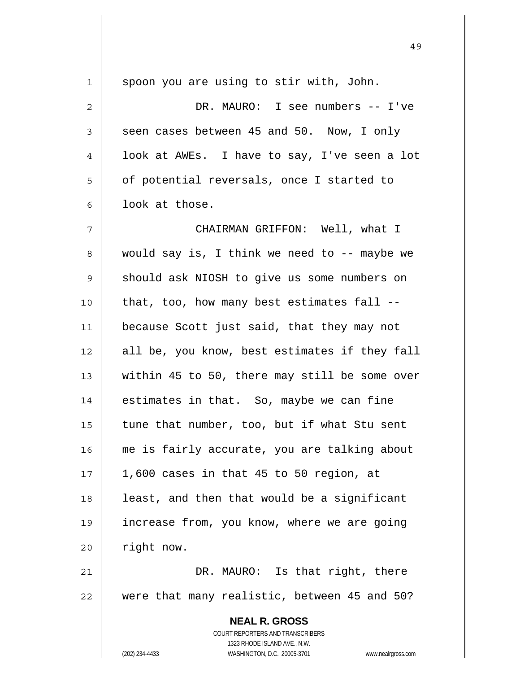| $\mathbf 1$ | spoon you are using to stir with, John.                             |  |
|-------------|---------------------------------------------------------------------|--|
| 2           | DR. MAURO: I see numbers -- I've                                    |  |
| 3           | seen cases between 45 and 50. Now, I only                           |  |
| 4           | look at AWEs. I have to say, I've seen a lot                        |  |
| 5           | of potential reversals, once I started to                           |  |
| 6           | look at those.                                                      |  |
| 7           | CHAIRMAN GRIFFON: Well, what I                                      |  |
| 8           | would say is, I think we need to -- maybe we                        |  |
| 9           | should ask NIOSH to give us some numbers on                         |  |
| 10          | that, too, how many best estimates fall --                          |  |
| 11          | because Scott just said, that they may not                          |  |
| 12          | all be, you know, best estimates if they fall                       |  |
| 13          | within 45 to 50, there may still be some over                       |  |
| 14          | estimates in that. So, maybe we can fine                            |  |
| 15          | tune that number, too, but if what Stu sent                         |  |
| 16          | me is fairly accurate, you are talking about                        |  |
| 17          | 1,600 cases in that 45 to 50 region, at                             |  |
| 18          | least, and then that would be a significant                         |  |
| 19          | increase from, you know, where we are going                         |  |
| 20          | right now.                                                          |  |
| 21          | DR. MAURO: Is that right, there                                     |  |
| 22          | were that many realistic, between 45 and 50?                        |  |
|             |                                                                     |  |
|             | <b>NEAL R. GROSS</b><br>COURT REPORTERS AND TRANSCRIBERS            |  |
|             | 1323 RHODE ISLAND AVE., N.W.                                        |  |
|             | (202) 234-4433<br>WASHINGTON, D.C. 20005-3701<br>www.nealrgross.com |  |

49

 $\mathbf{I}$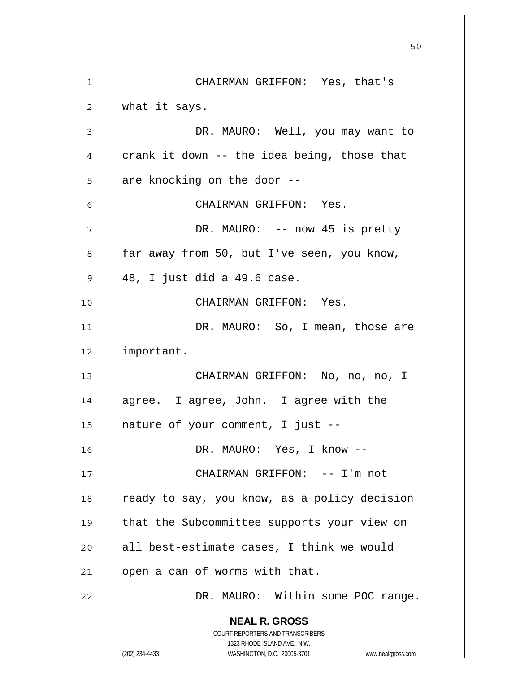**NEAL R. GROSS** COURT REPORTERS AND TRANSCRIBERS 1323 RHODE ISLAND AVE., N.W. (202) 234-4433 WASHINGTON, D.C. 20005-3701 www.nealrgross.com 50 1 2 3 4 5 6 7 8 9 10 11 12 13 14 15 16 17 18 19 20 21 22 CHAIRMAN GRIFFON: Yes, that's what it says. DR. MAURO: Well, you may want to crank it down -- the idea being, those that are knocking on the door -- CHAIRMAN GRIFFON: Yes. DR. MAURO: -- now 45 is pretty far away from 50, but I've seen, you know, 48, I just did a 49.6 case. CHAIRMAN GRIFFON: Yes. DR. MAURO: So, I mean, those are important. CHAIRMAN GRIFFON: No, no, no, I agree. I agree, John. I agree with the nature of your comment, I just -- DR. MAURO: Yes, I know -- CHAIRMAN GRIFFON: -- I'm not ready to say, you know, as a policy decision that the Subcommittee supports your view on all best-estimate cases, I think we would open a can of worms with that. DR. MAURO: Within some POC range.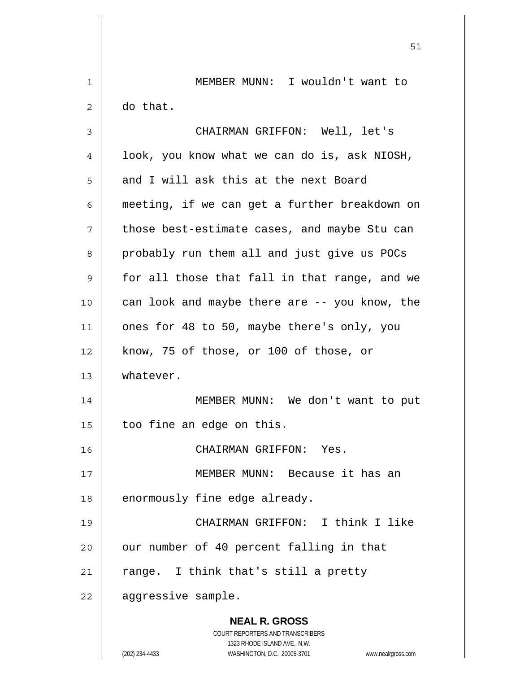**NEAL R. GROSS** COURT REPORTERS AND TRANSCRIBERS 1323 RHODE ISLAND AVE., N.W. (202) 234-4433 WASHINGTON, D.C. 20005-3701 www.nealrgross.com 1 2 3 4 5 6 7 8 9 10 11 12 13 14 15 16 17 18 19 20 21 22 MEMBER MUNN: I wouldn't want to do that. CHAIRMAN GRIFFON: Well, let's look, you know what we can do is, ask NIOSH, and I will ask this at the next Board meeting, if we can get a further breakdown on those best-estimate cases, and maybe Stu can probably run them all and just give us POCs for all those that fall in that range, and we can look and maybe there are -- you know, the ones for 48 to 50, maybe there's only, you know, 75 of those, or 100 of those, or whatever. MEMBER MUNN: We don't want to put too fine an edge on this. CHAIRMAN GRIFFON: Yes. MEMBER MUNN: Because it has an enormously fine edge already. CHAIRMAN GRIFFON: I think I like our number of 40 percent falling in that range. I think that's still a pretty aggressive sample.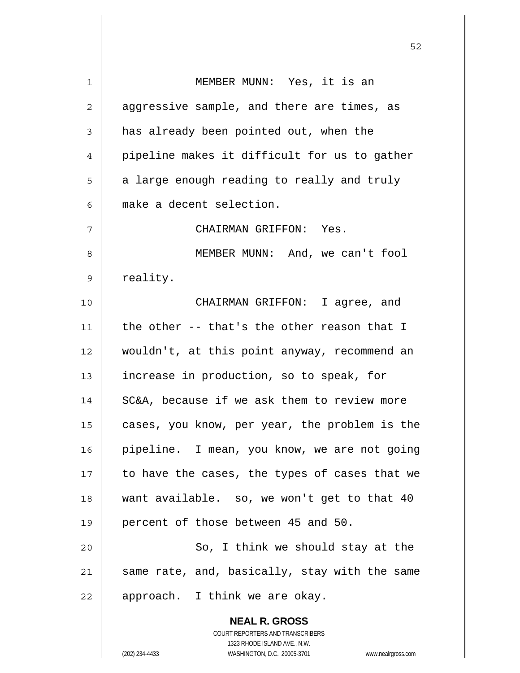**NEAL R. GROSS** COURT REPORTERS AND TRANSCRIBERS 1 2 3 4 5 6 7 8 9 10 11 12 13 14 15 16 17 18 19 20 21 22 MEMBER MUNN: Yes, it is an aggressive sample, and there are times, as has already been pointed out, when the pipeline makes it difficult for us to gather a large enough reading to really and truly make a decent selection. CHAIRMAN GRIFFON: Yes. MEMBER MUNN: And, we can't fool reality. CHAIRMAN GRIFFON: I agree, and the other -- that's the other reason that I wouldn't, at this point anyway, recommend an increase in production, so to speak, for SC&A, because if we ask them to review more cases, you know, per year, the problem is the pipeline. I mean, you know, we are not going to have the cases, the types of cases that we want available. so, we won't get to that 40 percent of those between 45 and 50. So, I think we should stay at the same rate, and, basically, stay with the same approach. I think we are okay.

1323 RHODE ISLAND AVE., N.W.

(202) 234-4433 WASHINGTON, D.C. 20005-3701 www.nealrgross.com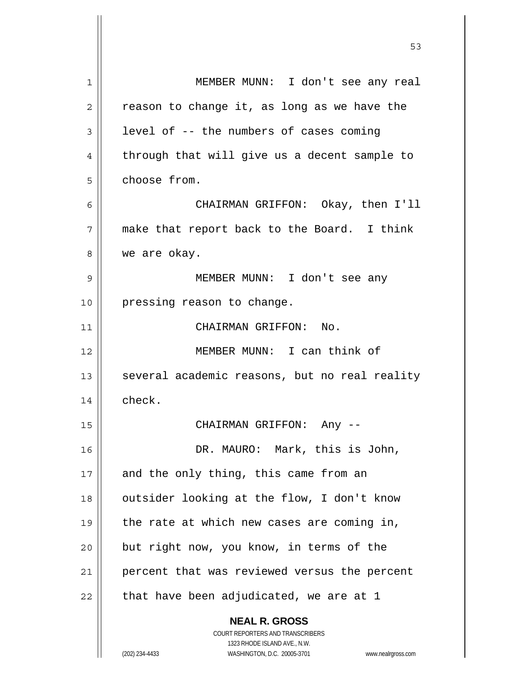| 1  | MEMBER MUNN: I don't see any real                                   |
|----|---------------------------------------------------------------------|
| 2  | reason to change it, as long as we have the                         |
| 3  | level of -- the numbers of cases coming                             |
| 4  | through that will give us a decent sample to                        |
| 5  | choose from.                                                        |
| 6  | CHAIRMAN GRIFFON: Okay, then I'll                                   |
| 7  | make that report back to the Board. I think                         |
| 8  | we are okay.                                                        |
| 9  | MEMBER MUNN: I don't see any                                        |
| 10 | pressing reason to change.                                          |
| 11 | CHAIRMAN GRIFFON: No.                                               |
| 12 | MEMBER MUNN: I can think of                                         |
| 13 | several academic reasons, but no real reality                       |
| 14 | check.                                                              |
| 15 | CHAIRMAN GRIFFON: Any --                                            |
| 16 | DR. MAURO: Mark, this is John,                                      |
| 17 | and the only thing, this came from an                               |
| 18 | outsider looking at the flow, I don't know                          |
| 19 | the rate at which new cases are coming in,                          |
| 20 | but right now, you know, in terms of the                            |
| 21 | percent that was reviewed versus the percent                        |
| 22 | that have been adjudicated, we are at 1                             |
|    | <b>NEAL R. GROSS</b>                                                |
|    | COURT REPORTERS AND TRANSCRIBERS                                    |
|    | 1323 RHODE ISLAND AVE., N.W.                                        |
|    | (202) 234-4433<br>WASHINGTON, D.C. 20005-3701<br>www.nealrgross.com |

 $\sim$  53

 $\mathbf{I}$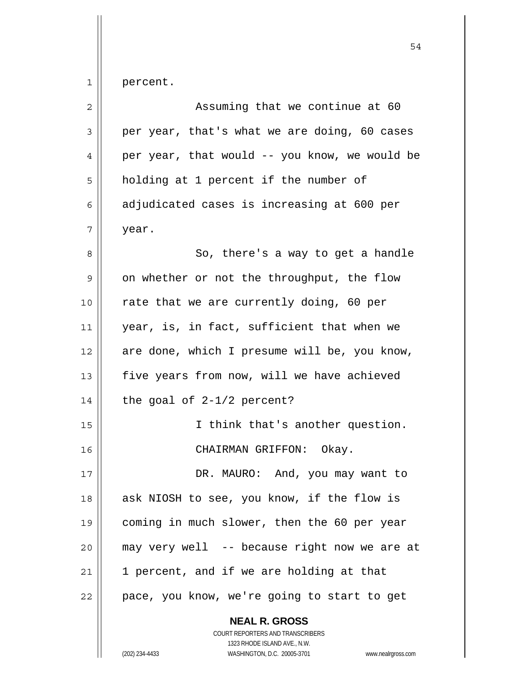| $\overline{2}$ | Assuming that we continue at 60               |
|----------------|-----------------------------------------------|
| 3              | per year, that's what we are doing, 60 cases  |
| 4              | per year, that would -- you know, we would be |
| 5              | holding at 1 percent if the number of         |
| 6              | adjudicated cases is increasing at 600 per    |
| 7              | year.                                         |
| 8              | So, there's a way to get a handle             |
| 9              | on whether or not the throughput, the flow    |
| 10             | rate that we are currently doing, 60 per      |
| 11             | year, is, in fact, sufficient that when we    |
| 12             | are done, which I presume will be, you know,  |
| 13             | five years from now, will we have achieved    |
| 14             | the goal of $2-1/2$ percent?                  |
| 15             | I think that's another question.              |
| 16             | CHAIRMAN GRIFFON: Okay.                       |
| 17             | DR. MAURO:<br>And, you may want to            |
| 18             | ask NIOSH to see, you know, if the flow is    |
| 19             | coming in much slower, then the 60 per year   |
| 20             | may very well -- because right now we are at  |
| 21             | 1 percent, and if we are holding at that      |
| 22             | pace, you know, we're going to start to get   |
|                | <b>NEAL R. GROSS</b>                          |

COURT REPORTERS AND TRANSCRIBERS 1323 RHODE ISLAND AVE., N.W.

(202) 234-4433 WASHINGTON, D.C. 20005-3701 www.nealrgross.com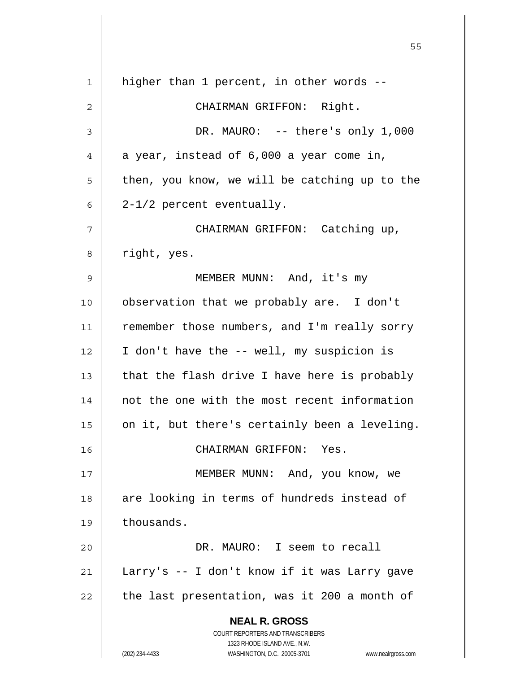| 1  | higher than 1 percent, in other words --                            |
|----|---------------------------------------------------------------------|
| 2  | CHAIRMAN GRIFFON: Right.                                            |
| 3  | DR. MAURO: -- there's only 1,000                                    |
| 4  | a year, instead of 6,000 a year come in,                            |
| 5  | then, you know, we will be catching up to the                       |
| 6  | $2-1/2$ percent eventually.                                         |
| 7  | CHAIRMAN GRIFFON: Catching up,                                      |
| 8  | right, yes.                                                         |
| 9  | MEMBER MUNN: And, it's my                                           |
| 10 | observation that we probably are. I don't                           |
| 11 | remember those numbers, and I'm really sorry                        |
| 12 | I don't have the -- well, my suspicion is                           |
| 13 | that the flash drive I have here is probably                        |
| 14 | not the one with the most recent information                        |
| 15 | on it, but there's certainly been a leveling.                       |
| 16 | CHAIRMAN GRIFFON: Yes.                                              |
| 17 | MEMBER MUNN: And, you know, we                                      |
| 18 | are looking in terms of hundreds instead of                         |
| 19 | thousands.                                                          |
| 20 | DR. MAURO: I seem to recall                                         |
| 21 | Larry's -- I don't know if it was Larry gave                        |
| 22 | the last presentation, was it 200 a month of                        |
|    | <b>NEAL R. GROSS</b>                                                |
|    | COURT REPORTERS AND TRANSCRIBERS                                    |
|    | 1323 RHODE ISLAND AVE., N.W.                                        |
|    | (202) 234-4433<br>WASHINGTON, D.C. 20005-3701<br>www.nealrgross.com |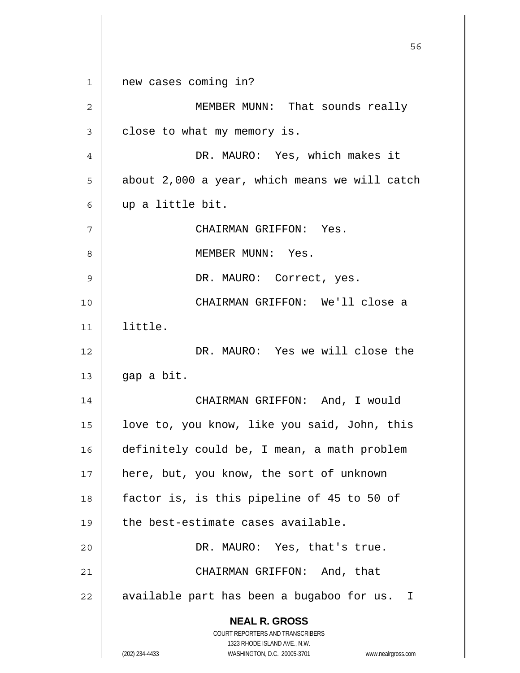**NEAL R. GROSS** COURT REPORTERS AND TRANSCRIBERS 1323 RHODE ISLAND AVE., N.W. (202) 234-4433 WASHINGTON, D.C. 20005-3701 www.nealrgross.com  $56$ 1 2 3 4 5 6 7 8 9 10 11 12 13 14 15 16 17 18 19 20 21 22 new cases coming in? MEMBER MUNN: That sounds really close to what my memory is. DR. MAURO: Yes, which makes it about 2,000 a year, which means we will catch up a little bit. CHAIRMAN GRIFFON: Yes. MEMBER MUNN: Yes. DR. MAURO: Correct, yes. CHAIRMAN GRIFFON: We'll close a little. DR. MAURO: Yes we will close the gap a bit. CHAIRMAN GRIFFON: And, I would love to, you know, like you said, John, this definitely could be, I mean, a math problem here, but, you know, the sort of unknown factor is, is this pipeline of 45 to 50 of the best-estimate cases available. DR. MAURO: Yes, that's true. CHAIRMAN GRIFFON: And, that available part has been a bugaboo for us. I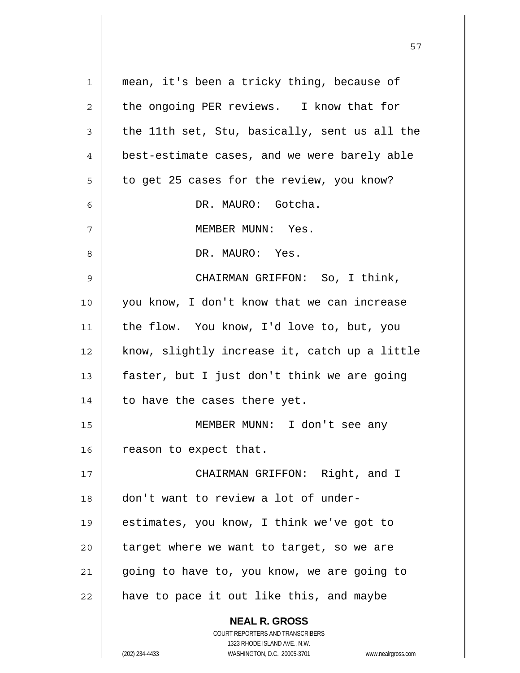| $\mathbf{1}$ | mean, it's been a tricky thing, because of                          |
|--------------|---------------------------------------------------------------------|
| $\mathbf{2}$ | the ongoing PER reviews. I know that for                            |
| 3            | the 11th set, Stu, basically, sent us all the                       |
| 4            | best-estimate cases, and we were barely able                        |
| 5            | to get 25 cases for the review, you know?                           |
| 6            | DR. MAURO: Gotcha.                                                  |
| 7            | MEMBER MUNN: Yes.                                                   |
| 8            | DR. MAURO: Yes.                                                     |
| 9            | CHAIRMAN GRIFFON: So, I think,                                      |
| 10           | you know, I don't know that we can increase                         |
| 11           | the flow. You know, I'd love to, but, you                           |
| 12           | know, slightly increase it, catch up a little                       |
| 13           | faster, but I just don't think we are going                         |
| 14           | to have the cases there yet.                                        |
| 15           | MEMBER MUNN: I don't see any                                        |
| 16           | reason to expect that.                                              |
| 17           | CHAIRMAN GRIFFON: Right, and I                                      |
| 18           | don't want to review a lot of under-                                |
| 19           | estimates, you know, I think we've got to                           |
| 20           | target where we want to target, so we are                           |
| 21           | going to have to, you know, we are going to                         |
| 22           | have to pace it out like this, and maybe                            |
|              | <b>NEAL R. GROSS</b>                                                |
|              | COURT REPORTERS AND TRANSCRIBERS                                    |
|              | 1323 RHODE ISLAND AVE., N.W.                                        |
|              | (202) 234-4433<br>WASHINGTON, D.C. 20005-3701<br>www.nealrgross.com |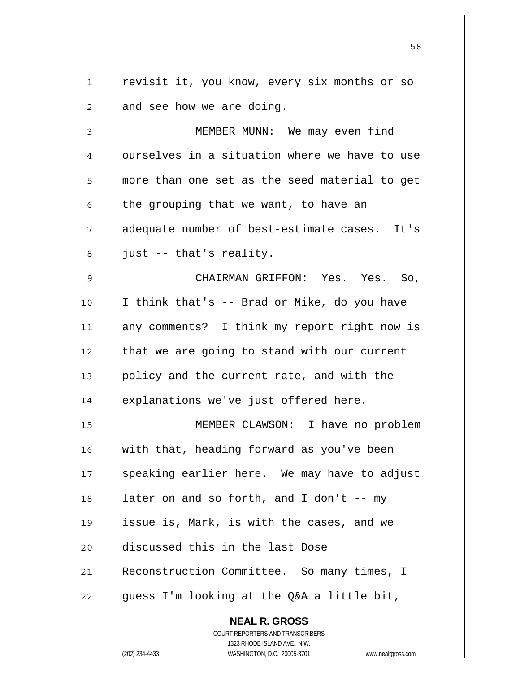1 2 revisit it, you know, every six months or so and see how we are doing.

3 4 5 6 7 8 9 10 11 12 13 MEMBER MUNN: We may even find ourselves in a situation where we have to use more than one set as the seed material to get the grouping that we want, to have an adequate number of best-estimate cases. It's just -- that's reality. CHAIRMAN GRIFFON: Yes. Yes. So, I think that's -- Brad or Mike, do you have any comments? I think my report right now is that we are going to stand with our current policy and the current rate, and with the

explanations we've just offered here.

15 16 17 18 19 20 21 22 MEMBER CLAWSON: I have no problem with that, heading forward as you've been speaking earlier here. We may have to adjust later on and so forth, and I don't  $-$ - my issue is, Mark, is with the cases, and we discussed this in the last Dose Reconstruction Committee. So many times, I guess I'm looking at the Q&A a little bit,

> **NEAL R. GROSS** COURT REPORTERS AND TRANSCRIBERS 1323 RHODE ISLAND AVE., N.W. (202) 234-4433 WASHINGTON, D.C. 20005-3701 www.nealrgross.com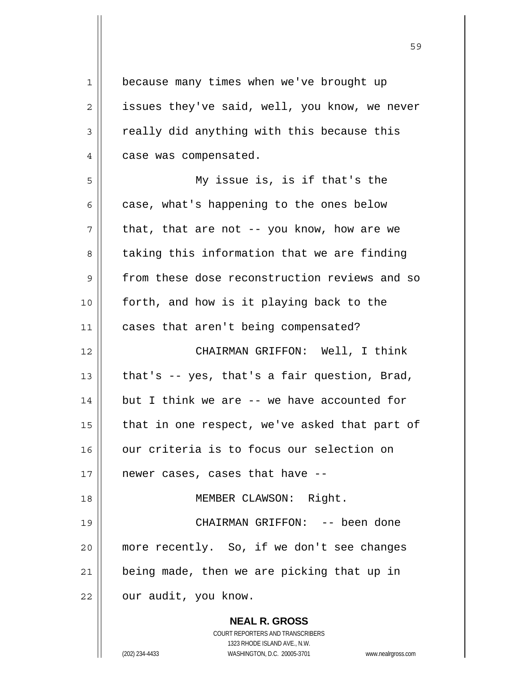**NEAL R. GROSS** COURT REPORTERS AND TRANSCRIBERS 1323 RHODE ISLAND AVE., N.W. 1 2 3 4 5 6 7 8 9 10 11 12 13 14 15 16 17 18 19 20 21 22 because many times when we've brought up issues they've said, well, you know, we never really did anything with this because this case was compensated. My issue is, is if that's the case, what's happening to the ones below that, that are not -- you know, how are we taking this information that we are finding from these dose reconstruction reviews and so forth, and how is it playing back to the cases that aren't being compensated? CHAIRMAN GRIFFON: Well, I think that's -- yes, that's a fair question, Brad, but I think we are -- we have accounted for that in one respect, we've asked that part of our criteria is to focus our selection on newer cases, cases that have -- MEMBER CLAWSON: Right. CHAIRMAN GRIFFON: -- been done more recently. So, if we don't see changes being made, then we are picking that up in our audit, you know.

(202) 234-4433 WASHINGTON, D.C. 20005-3701 www.nealrgross.com

<u>59 September 2005 September 2005 September 2005 September 2005 September 2005 September 2005 September 2005 S</u>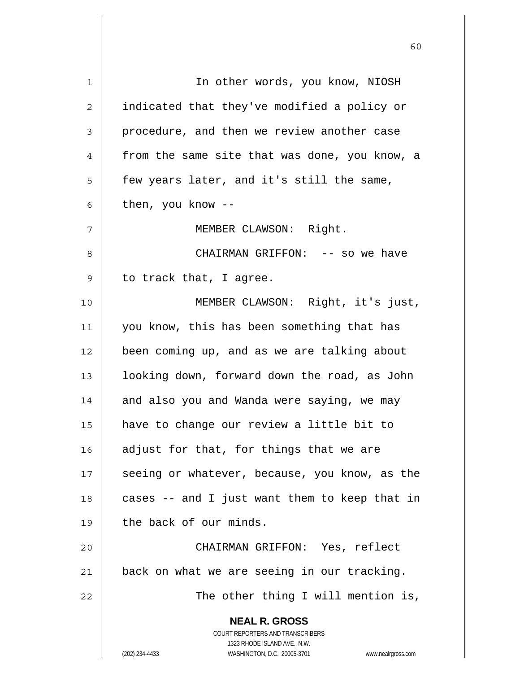**NEAL R. GROSS** COURT REPORTERS AND TRANSCRIBERS 1323 RHODE ISLAND AVE., N.W. (202) 234-4433 WASHINGTON, D.C. 20005-3701 www.nealrgross.com 1 2 3 4 5 6 7 8 9 10 11 12 13 14 15 16 17 18 19 20 21 22 In other words, you know, NIOSH indicated that they've modified a policy or procedure, and then we review another case from the same site that was done, you know, a few years later, and it's still the same, then, you know -- MEMBER CLAWSON: Right. CHAIRMAN GRIFFON: -- so we have to track that, I agree. MEMBER CLAWSON: Right, it's just, you know, this has been something that has been coming up, and as we are talking about looking down, forward down the road, as John and also you and Wanda were saying, we may have to change our review a little bit to adjust for that, for things that we are seeing or whatever, because, you know, as the cases -- and I just want them to keep that in the back of our minds. CHAIRMAN GRIFFON: Yes, reflect back on what we are seeing in our tracking. The other thing I will mention is,

 $\sim$  60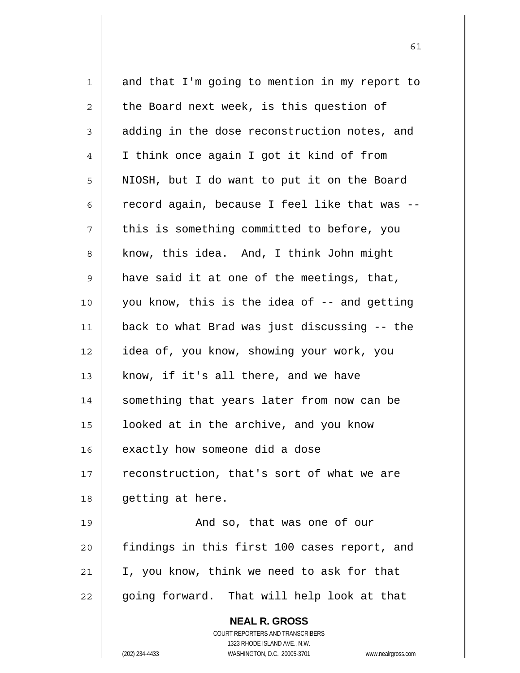| $\mathbf 1$ | and that I'm going to mention in my report to                       |  |  |  |  |
|-------------|---------------------------------------------------------------------|--|--|--|--|
| 2           | the Board next week, is this question of                            |  |  |  |  |
| 3           | adding in the dose reconstruction notes, and                        |  |  |  |  |
| 4           | I think once again I got it kind of from                            |  |  |  |  |
| 5           | NIOSH, but I do want to put it on the Board                         |  |  |  |  |
| 6           | record again, because I feel like that was --                       |  |  |  |  |
| 7           | this is something committed to before, you                          |  |  |  |  |
| 8           | know, this idea. And, I think John might                            |  |  |  |  |
| 9           | have said it at one of the meetings, that,                          |  |  |  |  |
| 10          | you know, this is the idea of -- and getting                        |  |  |  |  |
| 11          | back to what Brad was just discussing -- the                        |  |  |  |  |
| 12          | idea of, you know, showing your work, you                           |  |  |  |  |
| 13          | know, if it's all there, and we have                                |  |  |  |  |
| 14          | something that years later from now can be                          |  |  |  |  |
| 15          | looked at in the archive, and you know                              |  |  |  |  |
| 16          | exactly how someone did a dose                                      |  |  |  |  |
| 17          | reconstruction, that's sort of what we are                          |  |  |  |  |
| 18          | getting at here.                                                    |  |  |  |  |
| 19          | And so, that was one of our                                         |  |  |  |  |
| 20          | findings in this first 100 cases report, and                        |  |  |  |  |
| 21          | I, you know, think we need to ask for that                          |  |  |  |  |
| 22          | going forward. That will help look at that                          |  |  |  |  |
|             | <b>NEAL R. GROSS</b>                                                |  |  |  |  |
|             | COURT REPORTERS AND TRANSCRIBERS                                    |  |  |  |  |
|             | 1323 RHODE ISLAND AVE., N.W.                                        |  |  |  |  |
|             | (202) 234-4433<br>WASHINGTON, D.C. 20005-3701<br>www.nealrgross.com |  |  |  |  |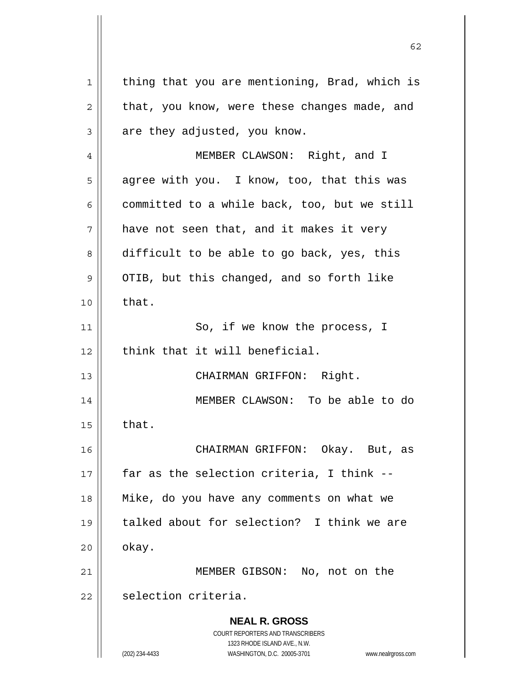**NEAL R. GROSS** COURT REPORTERS AND TRANSCRIBERS 1323 RHODE ISLAND AVE., N.W. (202) 234-4433 WASHINGTON, D.C. 20005-3701 www.nealrgross.com 1 2 3 4 5 6 7 8 9 10 11 12 13 14 15 16 17 18 19 20 21 22 thing that you are mentioning, Brad, which is that, you know, were these changes made, and are they adjusted, you know. MEMBER CLAWSON: Right, and I agree with you. I know, too, that this was committed to a while back, too, but we still have not seen that, and it makes it very difficult to be able to go back, yes, this OTIB, but this changed, and so forth like that. So, if we know the process, I think that it will beneficial. CHAIRMAN GRIFFON: Right. MEMBER CLAWSON: To be able to do that. CHAIRMAN GRIFFON: Okay. But, as far as the selection criteria, I think -- Mike, do you have any comments on what we talked about for selection? I think we are okay. MEMBER GIBSON: No, not on the selection criteria.

 $\sim$  62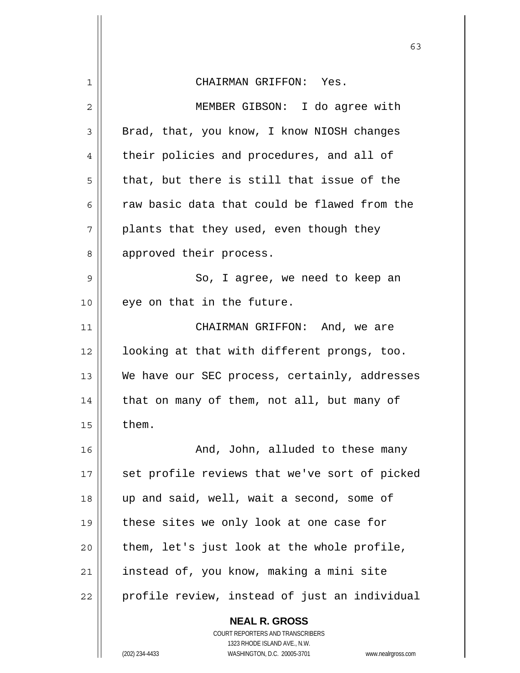|    | 63                                                                  |
|----|---------------------------------------------------------------------|
| 1  | CHAIRMAN GRIFFON: Yes.                                              |
| 2  | MEMBER GIBSON: I do agree with                                      |
| 3  | Brad, that, you know, I know NIOSH changes                          |
| 4  | their policies and procedures, and all of                           |
| 5  | that, but there is still that issue of the                          |
| 6  | raw basic data that could be flawed from the                        |
| 7  | plants that they used, even though they                             |
| 8  | approved their process.                                             |
| 9  | So, I agree, we need to keep an                                     |
| 10 | eye on that in the future.                                          |
| 11 | CHAIRMAN GRIFFON: And, we are                                       |
| 12 | looking at that with different prongs, too.                         |
| 13 | We have our SEC process, certainly, addresses                       |
| 14 | that on many of them, not all, but many of                          |
| 15 | them.                                                               |
| 16 | And, John, alluded to these many                                    |
| 17 | set profile reviews that we've sort of picked                       |
| 18 | up and said, well, wait a second, some of                           |
| 19 | these sites we only look at one case for                            |
| 20 | them, let's just look at the whole profile,                         |
| 21 | instead of, you know, making a mini site                            |
| 22 | profile review, instead of just an individual                       |
|    | <b>NEAL R. GROSS</b><br>COURT REPORTERS AND TRANSCRIBERS            |
|    | 1323 RHODE ISLAND AVE., N.W.                                        |
|    | (202) 234-4433<br>WASHINGTON, D.C. 20005-3701<br>www.nealrgross.com |

 $\mathsf{I}$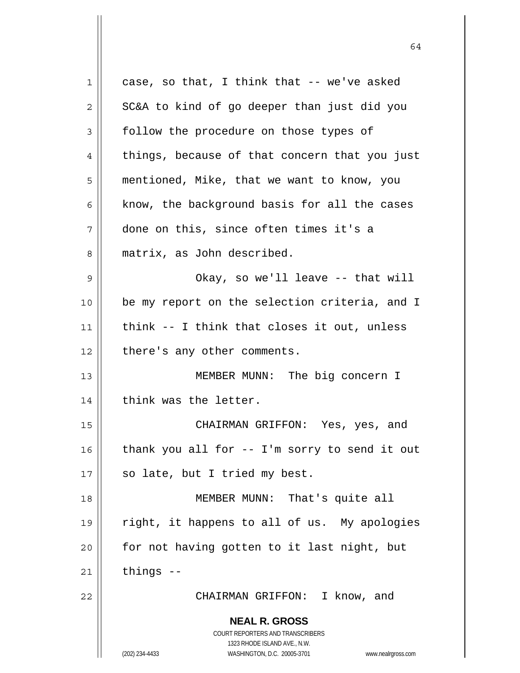**NEAL R. GROSS** COURT REPORTERS AND TRANSCRIBERS 1323 RHODE ISLAND AVE., N.W. (202) 234-4433 WASHINGTON, D.C. 20005-3701 www.nealrgross.com 1 2 3 4 5 6 7 8 9 10 11 12 13 14 15 16 17 18 19 20 21 22 case, so that, I think that -- we've asked SC&A to kind of go deeper than just did you follow the procedure on those types of things, because of that concern that you just mentioned, Mike, that we want to know, you know, the background basis for all the cases done on this, since often times it's a matrix, as John described. Okay, so we'll leave -- that will be my report on the selection criteria, and I think -- I think that closes it out, unless there's any other comments. MEMBER MUNN: The big concern I think was the letter. CHAIRMAN GRIFFON: Yes, yes, and thank you all for -- I'm sorry to send it out so late, but I tried my best. MEMBER MUNN: That's quite all right, it happens to all of us. My apologies for not having gotten to it last night, but things -- CHAIRMAN GRIFFON: I know, and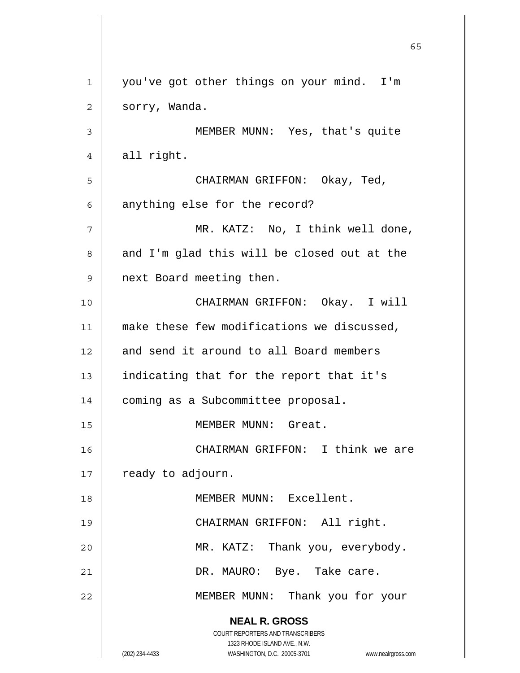**NEAL R. GROSS** COURT REPORTERS AND TRANSCRIBERS 1323 RHODE ISLAND AVE., N.W. (202) 234-4433 WASHINGTON, D.C. 20005-3701 www.nealrgross.com  $\sim$  65 1 2 3 4 5 6 7 8 9 10 11 12 13 14 15 16 17 18 19 20 21 22 you've got other things on your mind. I'm sorry, Wanda. MEMBER MUNN: Yes, that's quite all right. CHAIRMAN GRIFFON: Okay, Ted, anything else for the record? MR. KATZ: No, I think well done, and I'm glad this will be closed out at the next Board meeting then. CHAIRMAN GRIFFON: Okay. I will make these few modifications we discussed, and send it around to all Board members indicating that for the report that it's coming as a Subcommittee proposal. MEMBER MUNN: Great. CHAIRMAN GRIFFON: I think we are ready to adjourn. MEMBER MUNN: Excellent. CHAIRMAN GRIFFON: All right. MR. KATZ: Thank you, everybody. DR. MAURO: Bye. Take care. MEMBER MUNN: Thank you for your